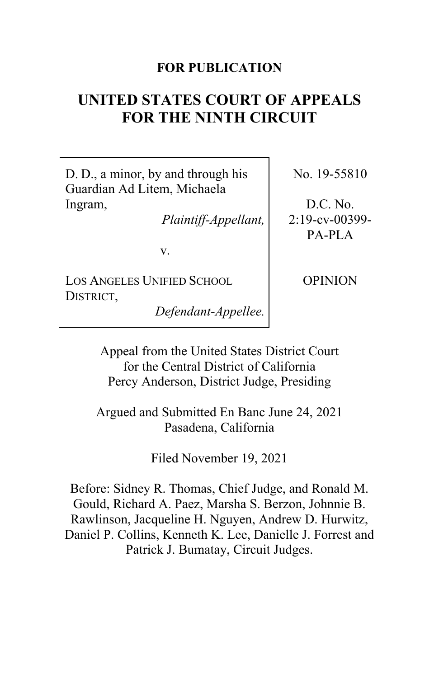## **FOR PUBLICATION**

# **UNITED STATES COURT OF APPEALS FOR THE NINTH CIRCUIT**

D. D., a minor, by and through his Guardian Ad Litem, Michaela Ingram,

*Plaintiff-Appellant,*

v.

LOS ANGELES UNIFIED SCHOOL DISTRICT,

*Defendant-Appellee.*

No. 19-55810

D.C. No. 2:19-cv-00399- PA-PLA

OPINION

Appeal from the United States District Court for the Central District of California Percy Anderson, District Judge, Presiding

Argued and Submitted En Banc June 24, 2021 Pasadena, California

Filed November 19, 2021

Before: Sidney R. Thomas, Chief Judge, and Ronald M. Gould, Richard A. Paez, Marsha S. Berzon, Johnnie B. Rawlinson, Jacqueline H. Nguyen, Andrew D. Hurwitz, Daniel P. Collins, Kenneth K. Lee, Danielle J. Forrest and Patrick J. Bumatay, Circuit Judges.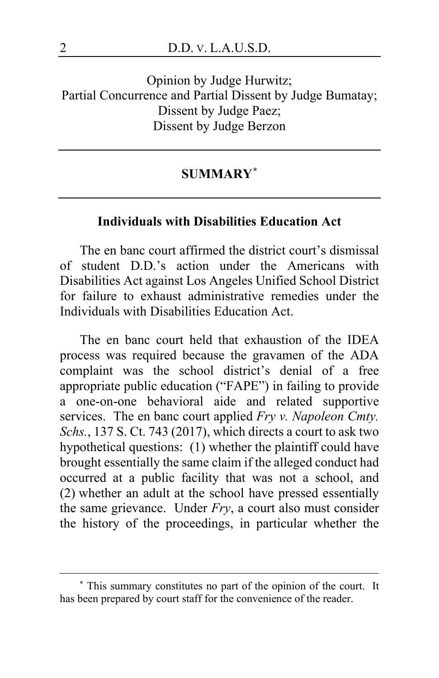Opinion by Judge Hurwitz; Partial Concurrence and Partial Dissent by Judge Bumatay; Dissent by Judge Paez; Dissent by Judge Berzon

## **SUMMARY[\\*](#page-1-0)**

## **Individuals with Disabilities Education Act**

The en banc court affirmed the district court's dismissal of student D.D.'s action under the Americans with Disabilities Act against Los Angeles Unified School District for failure to exhaust administrative remedies under the Individuals with Disabilities Education Act.

The en banc court held that exhaustion of the IDEA process was required because the gravamen of the ADA complaint was the school district's denial of a free appropriate public education ("FAPE") in failing to provide a one-on-one behavioral aide and related supportive services. The en banc court applied *Fry v. Napoleon Cmty. Schs.*, 137 S. Ct. 743 (2017), which directs a court to ask two hypothetical questions: (1) whether the plaintiff could have brought essentially the same claim if the alleged conduct had occurred at a public facility that was not a school, and (2) whether an adult at the school have pressed essentially the same grievance. Under *Fry*, a court also must consider the history of the proceedings, in particular whether the

<span id="page-1-0"></span>**<sup>\*</sup>** This summary constitutes no part of the opinion of the court. It has been prepared by court staff for the convenience of the reader.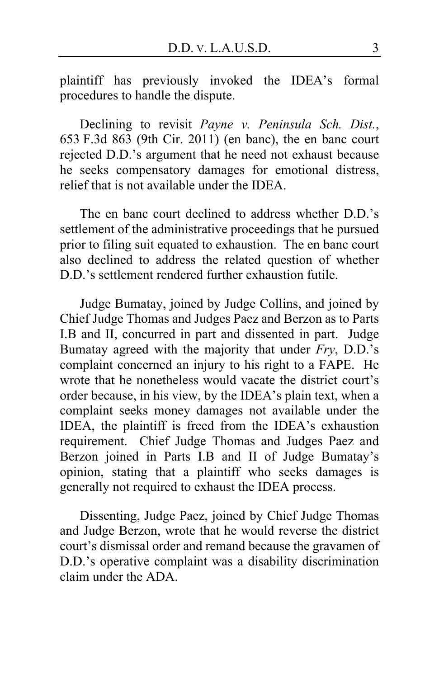plaintiff has previously invoked the IDEA's formal procedures to handle the dispute.

Declining to revisit *Payne v. Peninsula Sch. Dist.*, 653 F.3d 863 (9th Cir. 2011) (en banc), the en banc court rejected D.D.'s argument that he need not exhaust because he seeks compensatory damages for emotional distress, relief that is not available under the IDEA.

The en banc court declined to address whether D.D.'s settlement of the administrative proceedings that he pursued prior to filing suit equated to exhaustion. The en banc court also declined to address the related question of whether D.D.'s settlement rendered further exhaustion futile.

Judge Bumatay, joined by Judge Collins, and joined by Chief Judge Thomas and Judges Paez and Berzon as to Parts I.B and II, concurred in part and dissented in part. Judge Bumatay agreed with the majority that under *Fry*, D.D.'s complaint concerned an injury to his right to a FAPE. He wrote that he nonetheless would vacate the district court's order because, in his view, by the IDEA's plain text, when a complaint seeks money damages not available under the IDEA, the plaintiff is freed from the IDEA's exhaustion requirement. Chief Judge Thomas and Judges Paez and Berzon joined in Parts I.B and II of Judge Bumatay's opinion, stating that a plaintiff who seeks damages is generally not required to exhaust the IDEA process.

Dissenting, Judge Paez, joined by Chief Judge Thomas and Judge Berzon, wrote that he would reverse the district court's dismissal order and remand because the gravamen of D.D.'s operative complaint was a disability discrimination claim under the ADA.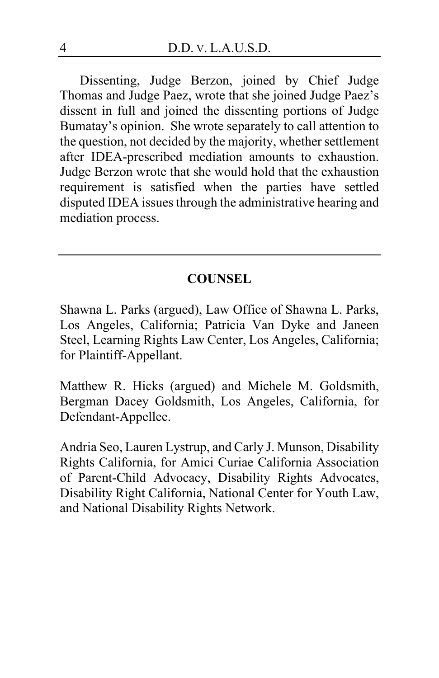Dissenting, Judge Berzon, joined by Chief Judge Thomas and Judge Paez, wrote that she joined Judge Paez's dissent in full and joined the dissenting portions of Judge Bumatay's opinion. She wrote separately to call attention to the question, not decided by the majority, whether settlement after IDEA-prescribed mediation amounts to exhaustion. Judge Berzon wrote that she would hold that the exhaustion requirement is satisfied when the parties have settled disputed IDEA issues through the administrative hearing and mediation process.

## **COUNSEL**

Shawna L. Parks (argued), Law Office of Shawna L. Parks, Los Angeles, California; Patricia Van Dyke and Janeen Steel, Learning Rights Law Center, Los Angeles, California; for Plaintiff-Appellant.

Matthew R. Hicks (argued) and Michele M. Goldsmith, Bergman Dacey Goldsmith, Los Angeles, California, for Defendant-Appellee.

Andria Seo, Lauren Lystrup, and Carly J. Munson, Disability Rights California, for Amici Curiae California Association of Parent-Child Advocacy, Disability Rights Advocates, Disability Right California, National Center for Youth Law, and National Disability Rights Network.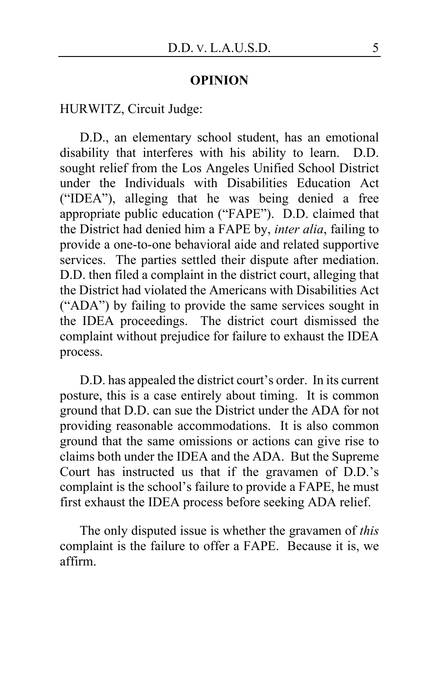#### **OPINION**

HURWITZ, Circuit Judge:

D.D., an elementary school student, has an emotional disability that interferes with his ability to learn. D.D. sought relief from the Los Angeles Unified School District under the Individuals with Disabilities Education Act ("IDEA"), alleging that he was being denied a free appropriate public education ("FAPE"). D.D. claimed that the District had denied him a FAPE by, *inter alia*, failing to provide a one-to-one behavioral aide and related supportive services. The parties settled their dispute after mediation. D.D. then filed a complaint in the district court, alleging that the District had violated the Americans with Disabilities Act ("ADA") by failing to provide the same services sought in the IDEA proceedings. The district court dismissed the complaint without prejudice for failure to exhaust the IDEA process.

D.D. has appealed the district court's order. In its current posture, this is a case entirely about timing. It is common ground that D.D. can sue the District under the ADA for not providing reasonable accommodations. It is also common ground that the same omissions or actions can give rise to claims both under the IDEA and the ADA. But the Supreme Court has instructed us that if the gravamen of D.D.'s complaint is the school's failure to provide a FAPE, he must first exhaust the IDEA process before seeking ADA relief.

The only disputed issue is whether the gravamen of *this* complaint is the failure to offer a FAPE. Because it is, we affirm.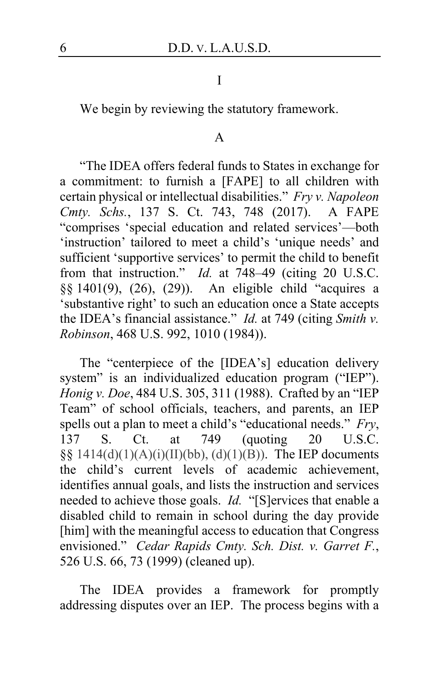## I

We begin by reviewing the statutory framework.

## A

"The IDEA offers federal funds to States in exchange for a commitment: to furnish a [FAPE] to all children with certain physical or intellectual disabilities." *Fry v. Napoleon Cmty. Schs.*, 137 S. Ct. 743, 748 (2017). A FAPE "comprises 'special education and related services'—both 'instruction' tailored to meet a child's 'unique needs' and sufficient 'supportive services' to permit the child to benefit from that instruction." *Id.* at 748–49 (citing 20 U.S.C. §§ 1401(9), (26), (29)). An eligible child "acquires a 'substantive right' to such an education once a State accepts the IDEA's financial assistance." *Id.* at 749 (citing *Smith v. Robinson*, 468 U.S. 992, 1010 (1984)).

The "centerpiece of the [IDEA's] education delivery system" is an individualized education program ("IEP"). *Honig v. Doe*, 484 U.S. 305, 311 (1988). Crafted by an "IEP Team" of school officials, teachers, and parents, an IEP spells out a plan to meet a child's "educational needs." *Fry*, 137 S. Ct. at 749 (quoting 20 U.S.C. §§ 1414(d)(1)(A)(i)(II)(bb), (d)(1)(B)). The IEP documents the child's current levels of academic achievement, identifies annual goals, and lists the instruction and services needed to achieve those goals. *Id.* "[S]ervices that enable a disabled child to remain in school during the day provide [him] with the meaningful access to education that Congress envisioned." *Cedar Rapids Cmty. Sch. Dist. v. Garret F.*, 526 U.S. 66, 73 (1999) (cleaned up).

The IDEA provides a framework for promptly addressing disputes over an IEP. The process begins with a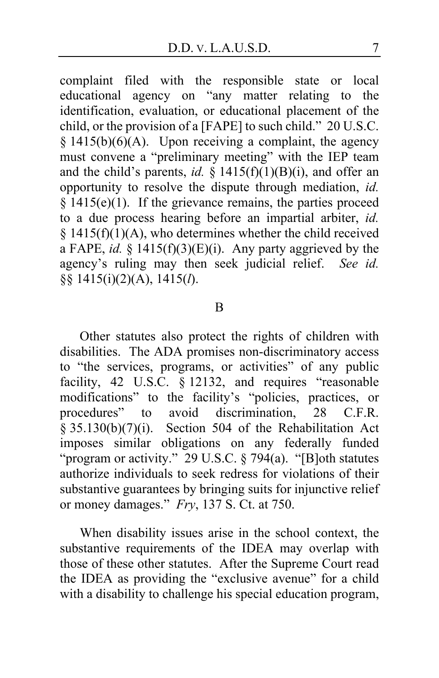complaint filed with the responsible state or local educational agency on "any matter relating to the identification, evaluation, or educational placement of the child, or the provision of a [FAPE] to such child." 20 U.S.C. § 1415(b)(6)(A). Upon receiving a complaint, the agency must convene a "preliminary meeting" with the IEP team and the child's parents, *id.* § 1415(f)(1)(B)(i), and offer an opportunity to resolve the dispute through mediation, *id.*  $§$  1415(e)(1). If the grievance remains, the parties proceed to a due process hearing before an impartial arbiter, *id.*  $§ 1415(f)(1)(A)$ , who determines whether the child received a FAPE, *id.* §  $1415(f)(3)(E)(i)$ . Any party aggrieved by the agency's ruling may then seek judicial relief. *See id.* §§ 1415(i)(2)(A), 1415(*l*).

#### B

Other statutes also protect the rights of children with disabilities. The ADA promises non-discriminatory access to "the services, programs, or activities" of any public facility, 42 U.S.C. § 12132, and requires "reasonable modifications" to the facility's "policies, practices, or procedures" to avoid discrimination, 28 C.F.R.  $\frac{1}{8}$  35.130(b)(7)(i). Section 504 of the Rehabilitation Act imposes similar obligations on any federally funded "program or activity." 29 U.S.C. § 794(a). "[B]oth statutes authorize individuals to seek redress for violations of their substantive guarantees by bringing suits for injunctive relief or money damages." *Fry*, 137 S. Ct. at 750.

When disability issues arise in the school context, the substantive requirements of the IDEA may overlap with those of these other statutes. After the Supreme Court read the IDEA as providing the "exclusive avenue" for a child with a disability to challenge his special education program,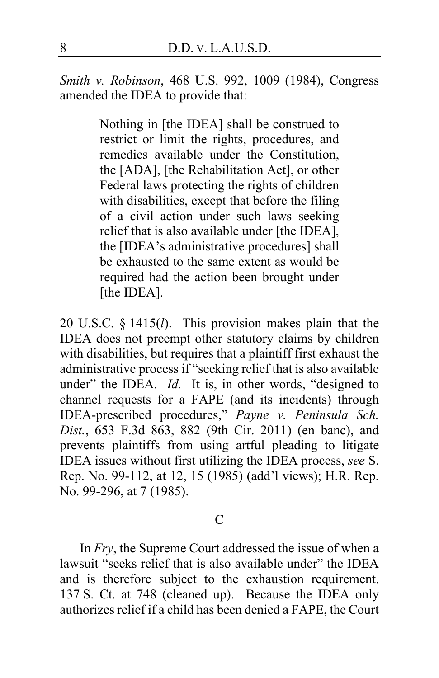*Smith v. Robinson*, 468 U.S. 992, 1009 (1984), Congress amended the IDEA to provide that:

> Nothing in [the IDEA] shall be construed to restrict or limit the rights, procedures, and remedies available under the Constitution, the [ADA], [the Rehabilitation Act], or other Federal laws protecting the rights of children with disabilities, except that before the filing of a civil action under such laws seeking relief that is also available under [the IDEA], the [IDEA's administrative procedures] shall be exhausted to the same extent as would be required had the action been brought under [the IDEA].

20 U.S.C. § 1415(*l*). This provision makes plain that the IDEA does not preempt other statutory claims by children with disabilities, but requires that a plaintiff first exhaust the administrative process if "seeking relief that is also available under" the IDEA. *Id.* It is, in other words, "designed to channel requests for a FAPE (and its incidents) through IDEA-prescribed procedures," *Payne v. Peninsula Sch. Dist.*, 653 F.3d 863, 882 (9th Cir. 2011) (en banc), and prevents plaintiffs from using artful pleading to litigate IDEA issues without first utilizing the IDEA process, *see* S. Rep. No. 99-112, at 12, 15 (1985) (add'l views); H.R. Rep. No. 99-296, at 7 (1985).

#### C

In *Fry*, the Supreme Court addressed the issue of when a lawsuit "seeks relief that is also available under" the IDEA and is therefore subject to the exhaustion requirement. 137 S. Ct. at 748 (cleaned up). Because the IDEA only authorizes relief if a child has been denied a FAPE, the Court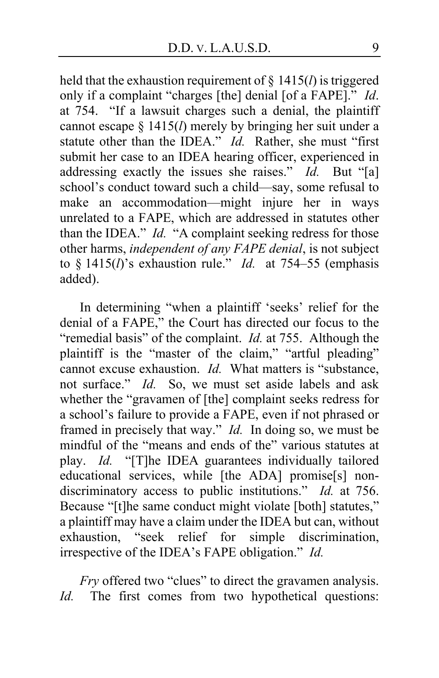held that the exhaustion requirement of § 1415(*l*) is triggered only if a complaint "charges [the] denial [of a FAPE]." *Id*. at 754. "If a lawsuit charges such a denial, the plaintiff cannot escape § 1415(*l*) merely by bringing her suit under a statute other than the IDEA." *Id.* Rather, she must "first submit her case to an IDEA hearing officer, experienced in addressing exactly the issues she raises." *Id.* But "[a] school's conduct toward such a child—say, some refusal to make an accommodation—might injure her in ways unrelated to a FAPE, which are addressed in statutes other than the IDEA." *Id.* "A complaint seeking redress for those other harms, *independent of any FAPE denial*, is not subject to § 1415(*l*)'s exhaustion rule." *Id.* at 754–55 (emphasis added).

In determining "when a plaintiff 'seeks' relief for the denial of a FAPE," the Court has directed our focus to the "remedial basis" of the complaint. *Id.* at 755. Although the plaintiff is the "master of the claim," "artful pleading" cannot excuse exhaustion. *Id.* What matters is "substance, not surface." *Id.* So, we must set aside labels and ask whether the "gravamen of [the] complaint seeks redress for a school's failure to provide a FAPE, even if not phrased or framed in precisely that way." *Id.* In doing so, we must be mindful of the "means and ends of the" various statutes at play. *Id.* "[T]he IDEA guarantees individually tailored educational services, while [the ADA] promise[s] nondiscriminatory access to public institutions." *Id.* at 756. Because "[t]he same conduct might violate [both] statutes," a plaintiff may have a claim under the IDEA but can, without exhaustion, "seek relief for simple discrimination, irrespective of the IDEA's FAPE obligation." *Id.*

*Fry* offered two "clues" to direct the gravamen analysis. *Id.* The first comes from two hypothetical questions: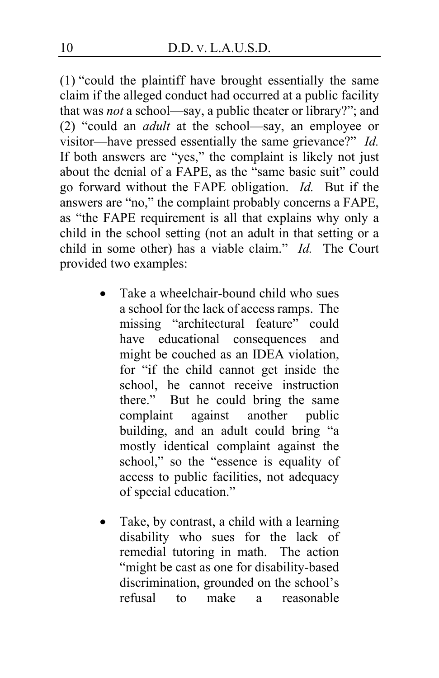(1) "could the plaintiff have brought essentially the same claim if the alleged conduct had occurred at a public facility that was *not* a school—say, a public theater or library?"; and (2) "could an *adult* at the school—say, an employee or visitor—have pressed essentially the same grievance?" *Id.* If both answers are "yes," the complaint is likely not just about the denial of a FAPE, as the "same basic suit" could go forward without the FAPE obligation. *Id.* But if the answers are "no," the complaint probably concerns a FAPE, as "the FAPE requirement is all that explains why only a child in the school setting (not an adult in that setting or a child in some other) has a viable claim." *Id.* The Court provided two examples:

- Take a wheelchair-bound child who sues a school for the lack of access ramps. The missing "architectural feature" could have educational consequences and might be couched as an IDEA violation, for "if the child cannot get inside the school, he cannot receive instruction there." But he could bring the same complaint against another public building, and an adult could bring "a mostly identical complaint against the school," so the "essence is equality of access to public facilities, not adequacy of special education."
- Take, by contrast, a child with a learning disability who sues for the lack of remedial tutoring in math. The action "might be cast as one for disability-based discrimination, grounded on the school's refusal to make a reasonable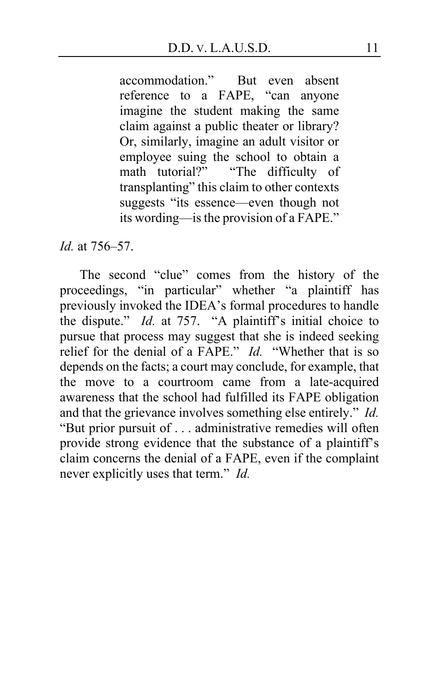accommodation." But even absent reference to a FAPE, "can anyone imagine the student making the same claim against a public theater or library? Or, similarly, imagine an adult visitor or employee suing the school to obtain a<br>math tutorial?" "The difficulty of "The difficulty of transplanting" this claim to other contexts suggests "its essence—even though not its wording—is the provision of a FAPE."

*Id.* at 756–57.

The second "clue" comes from the history of the proceedings, "in particular" whether "a plaintiff has previously invoked the IDEA's formal procedures to handle the dispute." *Id.* at 757. "A plaintiff's initial choice to pursue that process may suggest that she is indeed seeking relief for the denial of a FAPE." *Id.* "Whether that is so depends on the facts; a court may conclude, for example, that the move to a courtroom came from a late-acquired awareness that the school had fulfilled its FAPE obligation and that the grievance involves something else entirely." *Id.* "But prior pursuit of . . . administrative remedies will often provide strong evidence that the substance of a plaintiff's claim concerns the denial of a FAPE, even if the complaint never explicitly uses that term." *Id.*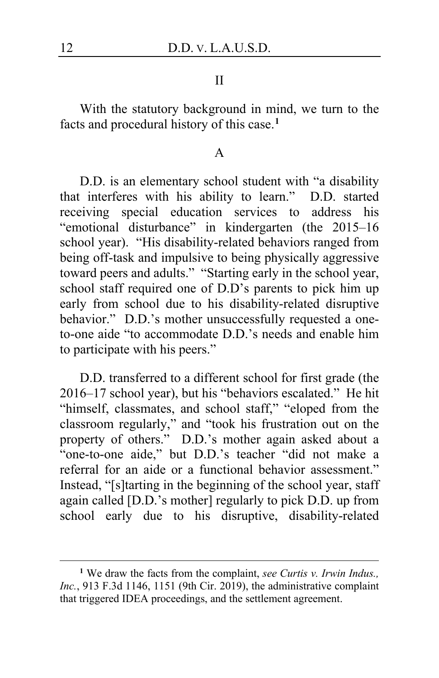#### II

With the statutory background in mind, we turn to the facts and procedural history of this case.**[1](#page-11-0)**

#### A

D.D. is an elementary school student with "a disability that interferes with his ability to learn." D.D. started receiving special education services to address his "emotional disturbance" in kindergarten (the 2015–16 school year). "His disability-related behaviors ranged from being off-task and impulsive to being physically aggressive toward peers and adults." "Starting early in the school year, school staff required one of D.D's parents to pick him up early from school due to his disability-related disruptive behavior." D.D.'s mother unsuccessfully requested a oneto-one aide "to accommodate D.D.'s needs and enable him to participate with his peers."

D.D. transferred to a different school for first grade (the 2016–17 school year), but his "behaviors escalated." He hit "himself, classmates, and school staff," "eloped from the classroom regularly," and "took his frustration out on the property of others." D.D.'s mother again asked about a "one-to-one aide," but D.D.'s teacher "did not make a referral for an aide or a functional behavior assessment." Instead, "[s]tarting in the beginning of the school year, staff again called [D.D.'s mother] regularly to pick D.D. up from school early due to his disruptive, disability-related

<span id="page-11-0"></span>**<sup>1</sup>** We draw the facts from the complaint, *see Curtis v. Irwin Indus., Inc.*, 913 F.3d 1146, 1151 (9th Cir. 2019), the administrative complaint that triggered IDEA proceedings, and the settlement agreement.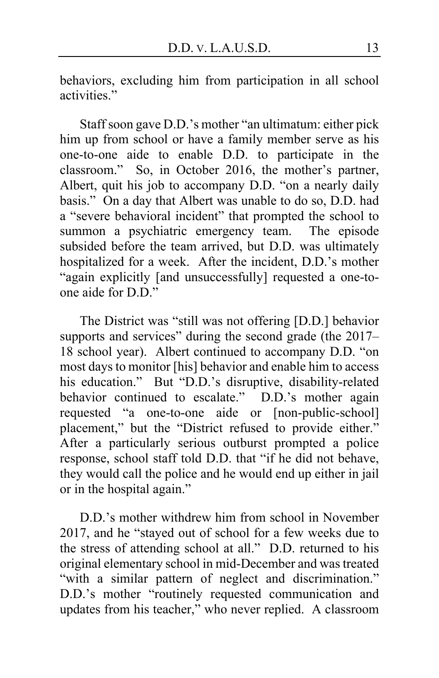behaviors, excluding him from participation in all school activities."

Staff soon gave D.D.'s mother "an ultimatum: either pick him up from school or have a family member serve as his one-to-one aide to enable D.D. to participate in the classroom." So, in October 2016, the mother's partner, Albert, quit his job to accompany D.D. "on a nearly daily basis." On a day that Albert was unable to do so, D.D. had a "severe behavioral incident" that prompted the school to summon a psychiatric emergency team. The episode subsided before the team arrived, but D.D. was ultimately hospitalized for a week. After the incident, D.D.'s mother "again explicitly [and unsuccessfully] requested a one-toone aide for  $D \cdot D$ "

The District was "still was not offering [D.D.] behavior supports and services" during the second grade (the 2017– 18 school year). Albert continued to accompany D.D. "on most days to monitor [his] behavior and enable him to access his education." But "D.D.'s disruptive, disability-related behavior continued to escalate." D.D.'s mother again requested "a one-to-one aide or [non-public-school] placement," but the "District refused to provide either." After a particularly serious outburst prompted a police response, school staff told D.D. that "if he did not behave, they would call the police and he would end up either in jail or in the hospital again."

D.D.'s mother withdrew him from school in November 2017, and he "stayed out of school for a few weeks due to the stress of attending school at all." D.D. returned to his original elementary school in mid-December and was treated "with a similar pattern of neglect and discrimination." D.D.'s mother "routinely requested communication and updates from his teacher," who never replied. A classroom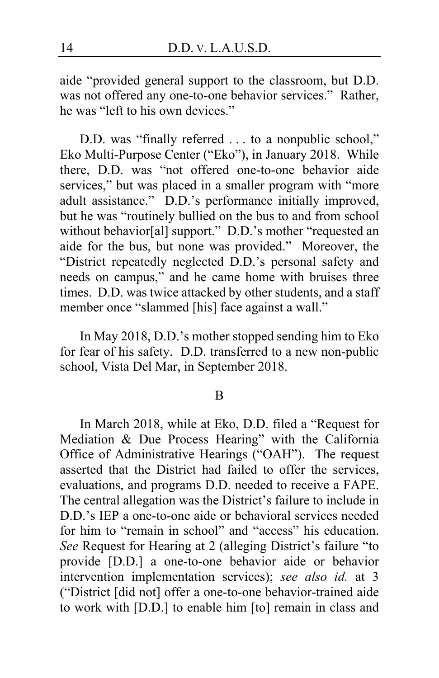aide "provided general support to the classroom, but D.D. was not offered any one-to-one behavior services." Rather, he was "left to his own devices."

D.D. was "finally referred . . . to a nonpublic school," Eko Multi-Purpose Center ("Eko"), in January 2018. While there, D.D. was "not offered one-to-one behavior aide services," but was placed in a smaller program with "more adult assistance." D.D.'s performance initially improved, but he was "routinely bullied on the bus to and from school without behavior[al] support." D.D.'s mother "requested an aide for the bus, but none was provided." Moreover, the "District repeatedly neglected D.D.'s personal safety and needs on campus," and he came home with bruises three times. D.D. was twice attacked by other students, and a staff member once "slammed [his] face against a wall."

In May 2018, D.D.'s mother stopped sending him to Eko for fear of his safety. D.D. transferred to a new non-public school, Vista Del Mar, in September 2018.

B

In March 2018, while at Eko, D.D. filed a "Request for Mediation & Due Process Hearing" with the California Office of Administrative Hearings ("OAH"). The request asserted that the District had failed to offer the services, evaluations, and programs D.D. needed to receive a FAPE. The central allegation was the District's failure to include in D.D.'s IEP a one-to-one aide or behavioral services needed for him to "remain in school" and "access" his education. *See* Request for Hearing at 2 (alleging District's failure "to provide [D.D.] a one-to-one behavior aide or behavior intervention implementation services); *see also id.* at 3 ("District [did not] offer a one-to-one behavior-trained aide to work with [D.D.] to enable him [to] remain in class and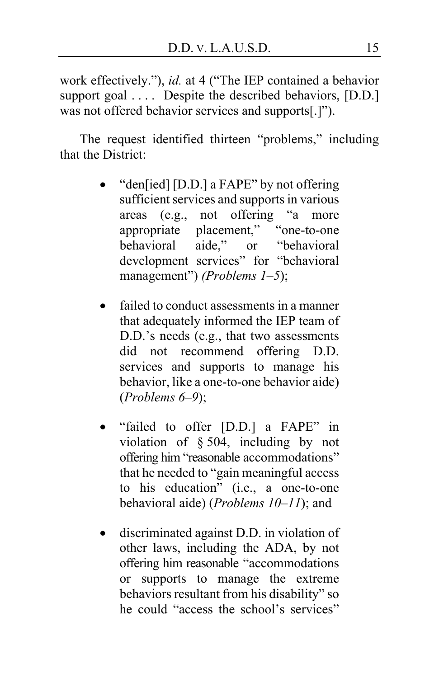work effectively."), *id.* at 4 ("The IEP contained a behavior support goal .... Despite the described behaviors, [D.D.] was not offered behavior services and supports[.]").

The request identified thirteen "problems," including that the District:

- "den[ied] [D.D.] a FAPE" by not offering sufficient services and supports in various areas (e.g., not offering "a more appropriate placement," "one-to-one<br>behavioral aide." or "behavioral aide," or "behavioral development services" for "behavioral management") *(Problems 1–5*);
- failed to conduct assessments in a manner that adequately informed the IEP team of D.D.'s needs (e.g., that two assessments did not recommend offering D.D. services and supports to manage his behavior, like a one-to-one behavior aide) (*Problems 6–9*);
- "failed to offer [D.D.] a FAPE" in violation of § 504, including by not offering him "reasonable accommodations" that he needed to "gain meaningful access to his education" (i.e., a one-to-one behavioral aide) (*Problems 10–11*); and
- discriminated against D.D. in violation of other laws, including the ADA, by not offering him reasonable "accommodations or supports to manage the extreme behaviors resultant from his disability" so he could "access the school's services"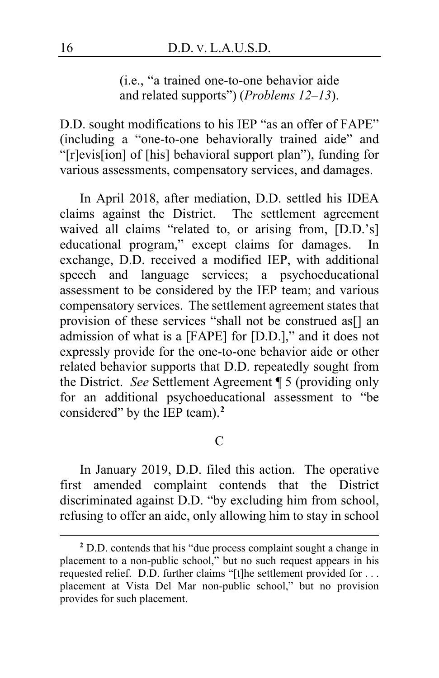(i.e., "a trained one-to-one behavior aide and related supports") (*Problems 12–13*).

D.D. sought modifications to his IEP "as an offer of FAPE" (including a "one-to-one behaviorally trained aide" and "[r]evis[ion] of [his] behavioral support plan"), funding for various assessments, compensatory services, and damages.

In April 2018, after mediation, D.D. settled his IDEA claims against the District. The settlement agreement waived all claims "related to, or arising from, [D.D.'s] educational program," except claims for damages. In exchange, D.D. received a modified IEP, with additional speech and language services; a psychoeducational assessment to be considered by the IEP team; and various compensatory services. The settlement agreement states that provision of these services "shall not be construed as[] an admission of what is a [FAPE] for [D.D.]," and it does not expressly provide for the one-to-one behavior aide or other related behavior supports that D.D. repeatedly sought from the District. *See* Settlement Agreement ¶ 5 (providing only for an additional psychoeducational assessment to "be considered" by the IEP team).**[2](#page-15-0)**

## $\mathcal{C}$

In January 2019, D.D. filed this action. The operative first amended complaint contends that the District discriminated against D.D. "by excluding him from school, refusing to offer an aide, only allowing him to stay in school

<span id="page-15-0"></span>**<sup>2</sup>** D.D. contends that his "due process complaint sought a change in placement to a non-public school," but no such request appears in his requested relief. D.D. further claims "[t]he settlement provided for . . . placement at Vista Del Mar non-public school," but no provision provides for such placement.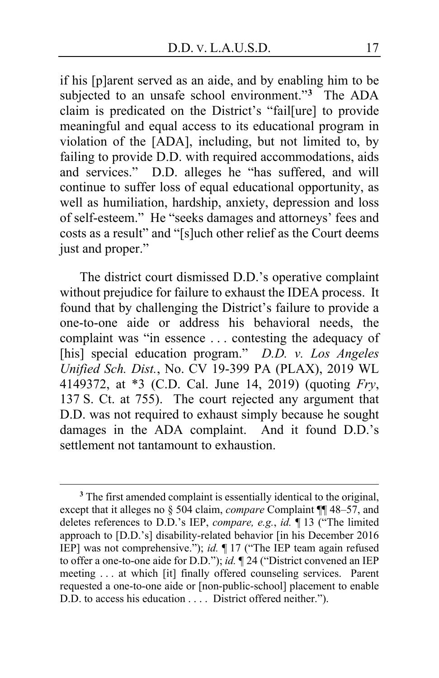if his [p]arent served as an aide, and by enabling him to be subjected to an unsafe school environment."**[3](#page-16-0)** The ADA claim is predicated on the District's "fail[ure] to provide meaningful and equal access to its educational program in violation of the [ADA], including, but not limited to, by failing to provide D.D. with required accommodations, aids and services." D.D. alleges he "has suffered, and will continue to suffer loss of equal educational opportunity, as well as humiliation, hardship, anxiety, depression and loss of self-esteem." He "seeks damages and attorneys' fees and costs as a result" and "[s]uch other relief as the Court deems just and proper."

The district court dismissed D.D.'s operative complaint without prejudice for failure to exhaust the IDEA process. It found that by challenging the District's failure to provide a one-to-one aide or address his behavioral needs, the complaint was "in essence . . . contesting the adequacy of [his] special education program." *D.D. v. Los Angeles Unified Sch. Dist.*, No. CV 19-399 PA (PLAX), 2019 WL 4149372, at \*3 (C.D. Cal. June 14, 2019) (quoting *Fry*, 137 S. Ct. at 755). The court rejected any argument that D.D. was not required to exhaust simply because he sought damages in the ADA complaint. And it found D.D.'s settlement not tantamount to exhaustion.

<span id="page-16-0"></span>**<sup>3</sup>** The first amended complaint is essentially identical to the original, except that it alleges no § 504 claim, *compare* Complaint ¶¶ 48–57, and deletes references to D.D.'s IEP, *compare, e.g.*, *id.* ¶ 13 ("The limited approach to [D.D.'s] disability-related behavior [in his December 2016 IEP] was not comprehensive."); *id.* ¶ 17 ("The IEP team again refused to offer a one-to-one aide for D.D."); *id.* ¶ 24 ("District convened an IEP meeting . . . at which [it] finally offered counseling services. Parent requested a one-to-one aide or [non-public-school] placement to enable D.D. to access his education . . . . District offered neither.").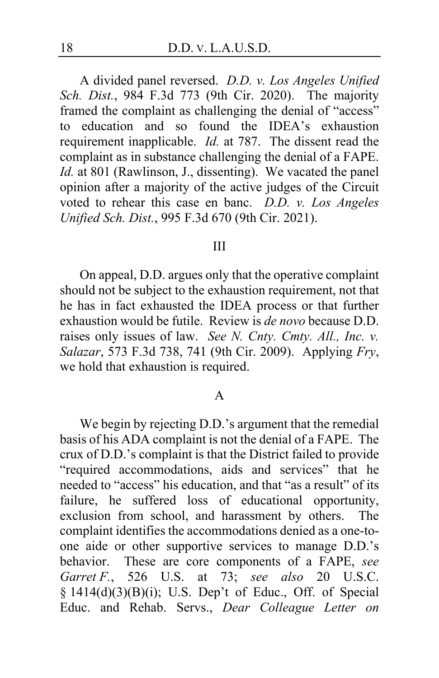A divided panel reversed. *D.D. v. Los Angeles Unified Sch. Dist.*, 984 F.3d 773 (9th Cir. 2020). The majority framed the complaint as challenging the denial of "access" to education and so found the IDEA's exhaustion requirement inapplicable. *Id.* at 787. The dissent read the complaint as in substance challenging the denial of a FAPE. *Id.* at 801 (Rawlinson, J., dissenting). We vacated the panel opinion after a majority of the active judges of the Circuit voted to rehear this case en banc. *D.D. v. Los Angeles Unified Sch. Dist.*, 995 F.3d 670 (9th Cir. 2021).

#### III

On appeal, D.D. argues only that the operative complaint should not be subject to the exhaustion requirement, not that he has in fact exhausted the IDEA process or that further exhaustion would be futile. Review is *de novo* because D.D. raises only issues of law. *See N. Cnty. Cmty. All., Inc. v. Salazar*, 573 F.3d 738, 741 (9th Cir. 2009). Applying *Fry*, we hold that exhaustion is required.

#### A

We begin by rejecting D.D.'s argument that the remedial basis of his ADA complaint is not the denial of a FAPE. The crux of D.D.'s complaint is that the District failed to provide "required accommodations, aids and services" that he needed to "access" his education, and that "as a result" of its failure, he suffered loss of educational opportunity, exclusion from school, and harassment by others. The complaint identifies the accommodations denied as a one-toone aide or other supportive services to manage D.D.'s behavior. These are core components of a FAPE, *see Garret F.*, 526 U.S. at 73; *see also* 20 U.S.C. § 1414(d)(3)(B)(i); U.S. Dep't of Educ., Off. of Special Educ. and Rehab. Servs., *Dear Colleague Letter on*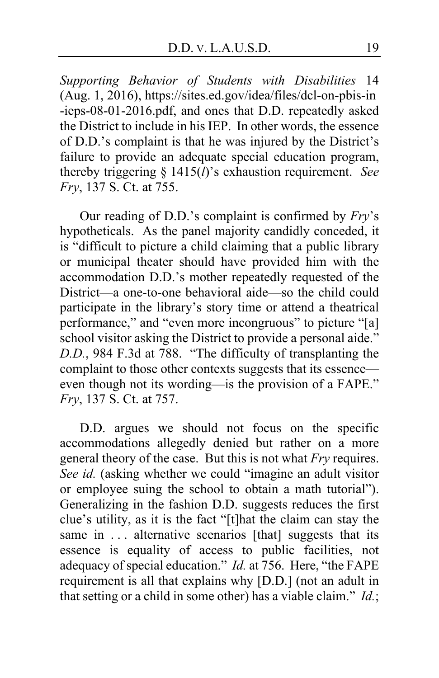*Supporting Behavior of Students with Disabilities* 14 (Aug. 1, 2016), https://sites.ed.gov/idea/files/dcl-on-pbis-in -ieps-08-01-2016.pdf, and ones that D.D. repeatedly asked the District to include in his IEP. In other words, the essence of D.D.'s complaint is that he was injured by the District's failure to provide an adequate special education program, thereby triggering § 1415(*l*)'s exhaustion requirement. *See Fry*, 137 S. Ct. at 755.

Our reading of D.D.'s complaint is confirmed by *Fry*'s hypotheticals. As the panel majority candidly conceded, it is "difficult to picture a child claiming that a public library or municipal theater should have provided him with the accommodation D.D.'s mother repeatedly requested of the District—a one-to-one behavioral aide—so the child could participate in the library's story time or attend a theatrical performance," and "even more incongruous" to picture "[a] school visitor asking the District to provide a personal aide." *D.D.*, 984 F.3d at 788. "The difficulty of transplanting the complaint to those other contexts suggests that its essence even though not its wording—is the provision of a FAPE." *Fry*, 137 S. Ct. at 757.

D.D. argues we should not focus on the specific accommodations allegedly denied but rather on a more general theory of the case. But this is not what *Fry* requires. *See id.* (asking whether we could "imagine an adult visitor or employee suing the school to obtain a math tutorial"). Generalizing in the fashion D.D. suggests reduces the first clue's utility, as it is the fact "[t]hat the claim can stay the same in ... alternative scenarios [that] suggests that its essence is equality of access to public facilities, not adequacy of special education." *Id.* at 756. Here, "the FAPE requirement is all that explains why [D.D.] (not an adult in that setting or a child in some other) has a viable claim." *Id.*;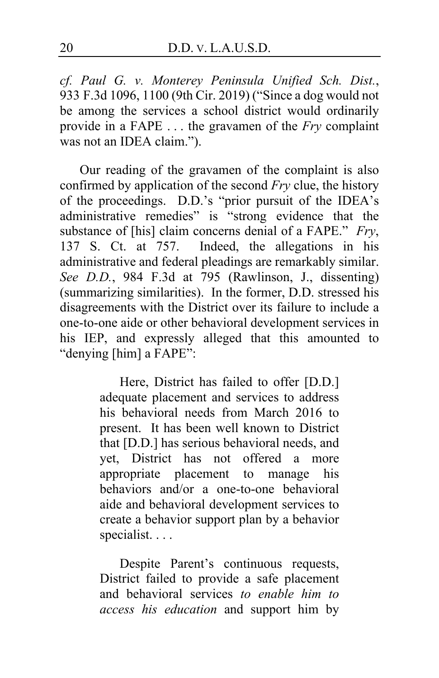*cf. Paul G. v. Monterey Peninsula Unified Sch. Dist.*, 933 F.3d 1096, 1100 (9th Cir. 2019) ("Since a dog would not be among the services a school district would ordinarily provide in a FAPE . . . the gravamen of the *Fry* complaint was not an IDEA claim.").

Our reading of the gravamen of the complaint is also confirmed by application of the second *Fry* clue, the history of the proceedings. D.D.'s "prior pursuit of the IDEA's administrative remedies" is "strong evidence that the substance of [his] claim concerns denial of a FAPE." *Fry*, 137 S. Ct. at 757. Indeed, the allegations in his administrative and federal pleadings are remarkably similar. *See D.D.*, 984 F.3d at 795 (Rawlinson, J., dissenting) (summarizing similarities). In the former, D.D. stressed his disagreements with the District over its failure to include a one-to-one aide or other behavioral development services in his IEP, and expressly alleged that this amounted to "denying [him] a FAPE":

> Here, District has failed to offer [D.D.] adequate placement and services to address his behavioral needs from March 2016 to present. It has been well known to District that [D.D.] has serious behavioral needs, and yet, District has not offered a more appropriate placement to manage his behaviors and/or a one-to-one behavioral aide and behavioral development services to create a behavior support plan by a behavior specialist. . . .

> Despite Parent's continuous requests, District failed to provide a safe placement and behavioral services *to enable him to access his education* and support him by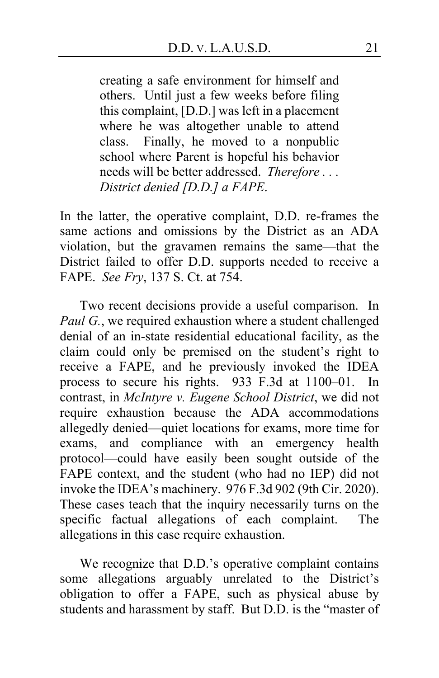creating a safe environment for himself and others. Until just a few weeks before filing this complaint, [D.D.] was left in a placement where he was altogether unable to attend class. Finally, he moved to a nonpublic school where Parent is hopeful his behavior needs will be better addressed. *Therefore . . . District denied [D.D.] a FAPE*.

In the latter, the operative complaint, D.D. re-frames the same actions and omissions by the District as an ADA violation, but the gravamen remains the same—that the District failed to offer D.D. supports needed to receive a FAPE. *See Fry*, 137 S. Ct. at 754.

Two recent decisions provide a useful comparison. In *Paul G.*, we required exhaustion where a student challenged denial of an in-state residential educational facility, as the claim could only be premised on the student's right to receive a FAPE, and he previously invoked the IDEA process to secure his rights. 933 F.3d at 1100–01. In contrast, in *McIntyre v. Eugene School District*, we did not require exhaustion because the ADA accommodations allegedly denied—quiet locations for exams, more time for exams, and compliance with an emergency health protocol—could have easily been sought outside of the FAPE context, and the student (who had no IEP) did not invoke the IDEA's machinery. 976 F.3d 902 (9th Cir. 2020). These cases teach that the inquiry necessarily turns on the specific factual allegations of each complaint. The allegations in this case require exhaustion.

We recognize that D.D.'s operative complaint contains some allegations arguably unrelated to the District's obligation to offer a FAPE, such as physical abuse by students and harassment by staff. But D.D. is the "master of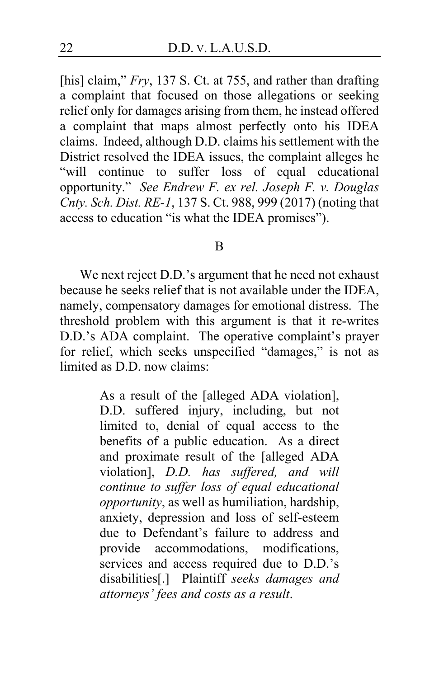[his] claim," *Fry*, 137 S. Ct. at 755, and rather than drafting a complaint that focused on those allegations or seeking relief only for damages arising from them, he instead offered a complaint that maps almost perfectly onto his IDEA claims. Indeed, although D.D. claims his settlement with the District resolved the IDEA issues, the complaint alleges he "will continue to suffer loss of equal educational opportunity." *See Endrew F. ex rel. Joseph F. v. Douglas Cnty. Sch. Dist. RE-1*, 137 S. Ct. 988, 999 (2017) (noting that access to education "is what the IDEA promises").

#### B

<span id="page-21-0"></span>We next reject D.D.'s argument that he need not exhaust because he seeks relief that is not available under the IDEA, namely, compensatory damages for emotional distress. The threshold problem with this argument is that it re-writes D.D.'s ADA complaint. The operative complaint's prayer for relief, which seeks unspecified "damages," is not as limited as D.D. now claims:

> As a result of the [alleged ADA violation], D.D. suffered injury, including, but not limited to, denial of equal access to the benefits of a public education. As a direct and proximate result of the [alleged ADA violation], *D.D. has suffered, and will continue to suffer loss of equal educational opportunity*, as well as humiliation, hardship, anxiety, depression and loss of self-esteem due to Defendant's failure to address and provide accommodations, modifications, services and access required due to D.D.'s disabilities[.] Plaintiff *seeks damages and attorneys' fees and costs as a result*.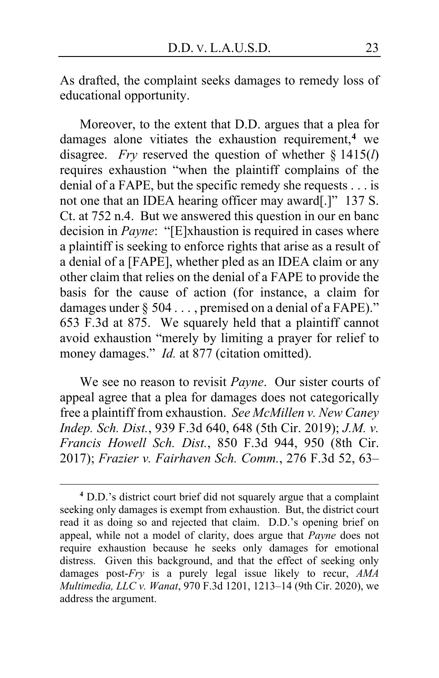As drafted, the complaint seeks damages to remedy loss of educational opportunity.

<span id="page-22-4"></span>Moreover, to the extent that D.D. argues that a plea for damages alone vitiates the exhaustion requirement,**[4](#page-22-0)** we disagree. *Fry* reserved the question of whether § 1415(*l*) requires exhaustion "when the plaintiff complains of the denial of a FAPE, but the specific remedy she requests . . . is not one that an IDEA hearing officer may award[.]" 137 S. Ct. at 752 n.4. But we answered this question in our en banc decision in *Payne*: "[E]xhaustion is required in cases where a plaintiff is seeking to enforce rights that arise as a result of a denial of a [FAPE], whether pled as an IDEA claim or any other claim that relies on the denial of a FAPE to provide the basis for the cause of action (for instance, a claim for damages under § 504 . . . , premised on a denial of a FAPE)." 653 F.3d at 875. We squarely held that a plaintiff cannot avoid exhaustion "merely by limiting a prayer for relief to money damages." *Id.* at 877 (citation omitted).

<span id="page-22-3"></span><span id="page-22-2"></span><span id="page-22-1"></span>We see no reason to revisit *Payne*. Our sister courts of appeal agree that a plea for damages does not categorically free a plaintiff from exhaustion. *See McMillen v. New Caney Indep. Sch. Dist.*, 939 F.3d 640, 648 (5th Cir. 2019); *J.M. v. Francis Howell Sch. Dist.*, 850 F.3d 944, 950 (8th Cir. 2017); *Frazier v. Fairhaven Sch. Comm.*, 276 F.3d 52, 63–

<span id="page-22-0"></span>**<sup>4</sup>** D.D.'s district court brief did not squarely argue that a complaint seeking only damages is exempt from exhaustion. But, the district court read it as doing so and rejected that claim. D.D.'s opening brief on appeal, while not a model of clarity, does argue that *Payne* does not require exhaustion because he seeks only damages for emotional distress. Given this background, and that the effect of seeking only damages post-*Fry* is a purely legal issue likely to recur, *AMA Multimedia, LLC v. Wanat*, 970 F.3d 1201, 1213–14 (9th Cir. 2020), we address the argument.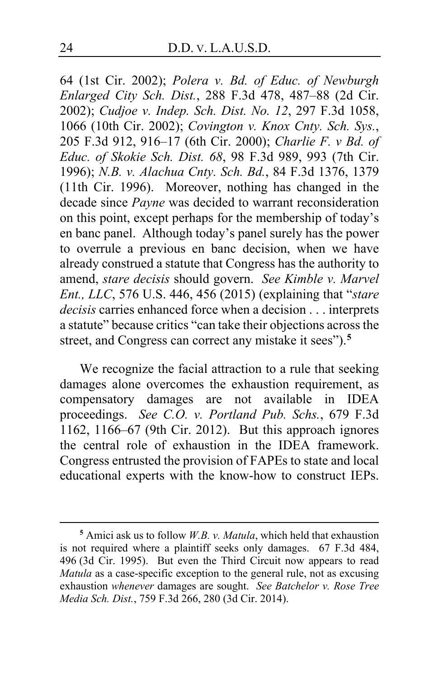<span id="page-23-1"></span>64 (1st Cir. 2002); *Polera v. Bd. of Educ. of Newburgh Enlarged City Sch. Dist.*, 288 F.3d 478, 487–88 (2d Cir. 2002); *Cudjoe v. Indep. Sch. Dist. No. 12*, 297 F.3d 1058, 1066 (10th Cir. 2002); *Covington v. Knox Cnty. Sch. Sys.*, 205 F.3d 912, 916–17 (6th Cir. 2000); *Charlie F. v Bd. of Educ. of Skokie Sch. Dist. 68*, 98 F.3d 989, 993 (7th Cir. 1996); *N.B. v. Alachua Cnty. Sch. Bd.*, 84 F.3d 1376, 1379 (11th Cir. 1996). Moreover, nothing has changed in the decade since *Payne* was decided to warrant reconsideration on this point, except perhaps for the membership of today's en banc panel. Although today's panel surely has the power to overrule a previous en banc decision, when we have already construed a statute that Congress has the authority to amend, *stare decisis* should govern. *See Kimble v. Marvel Ent., LLC*, 576 U.S. 446, 456 (2015) (explaining that "*stare decisis* carries enhanced force when a decision . . . interprets a statute" because critics "can take their objections across the street, and Congress can correct any mistake it sees").**[5](#page-23-0)**

We recognize the facial attraction to a rule that seeking damages alone overcomes the exhaustion requirement, as compensatory damages are not available in IDEA proceedings. *See C.O. v. Portland Pub. Schs.*, 679 F.3d 1162, 1166–67 (9th Cir. 2012). But this approach ignores the central role of exhaustion in the IDEA framework. Congress entrusted the provision of FAPEs to state and local educational experts with the know-how to construct IEPs.

<span id="page-23-0"></span>**<sup>5</sup>** Amici ask us to follow *W.B. v. Matula*, which held that exhaustion is not required where a plaintiff seeks only damages. 67 F.3d 484, 496 (3d Cir. 1995). But even the Third Circuit now appears to read *Matula* as a case-specific exception to the general rule, not as excusing exhaustion *whenever* damages are sought. *See Batchelor v. Rose Tree Media Sch. Dist.*, 759 F.3d 266, 280 (3d Cir. 2014).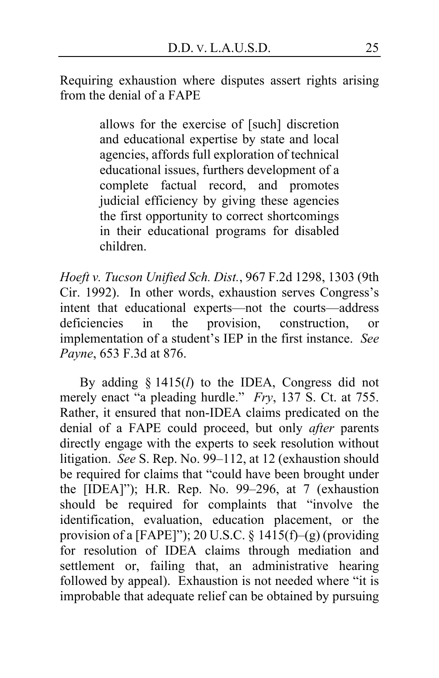Requiring exhaustion where disputes assert rights arising from the denial of a FAPE

> allows for the exercise of [such] discretion and educational expertise by state and local agencies, affords full exploration of technical educational issues, furthers development of a complete factual record, and promotes judicial efficiency by giving these agencies the first opportunity to correct shortcomings in their educational programs for disabled children.

<span id="page-24-0"></span>*Hoeft v. Tucson Unified Sch. Dist.*, 967 F.2d 1298, 1303 (9th Cir. 1992). In other words, exhaustion serves Congress's intent that educational experts—not the courts—address deficiencies in the provision, construction, or implementation of a student's IEP in the first instance. *See Payne*, 653 F.3d at 876.

By adding § 1415(*l*) to the IDEA, Congress did not merely enact "a pleading hurdle." *Fry*, 137 S. Ct. at 755. Rather, it ensured that non-IDEA claims predicated on the denial of a FAPE could proceed, but only *after* parents directly engage with the experts to seek resolution without litigation. *See* S. Rep. No. 99–112, at 12 (exhaustion should be required for claims that "could have been brought under the [IDEA]"); H.R. Rep. No. 99–296, at 7 (exhaustion should be required for complaints that "involve the identification, evaluation, education placement, or the provision of a [FAPE]"); 20 U.S.C. § 1415(f)–(g) (providing for resolution of IDEA claims through mediation and settlement or, failing that, an administrative hearing followed by appeal). Exhaustion is not needed where "it is improbable that adequate relief can be obtained by pursuing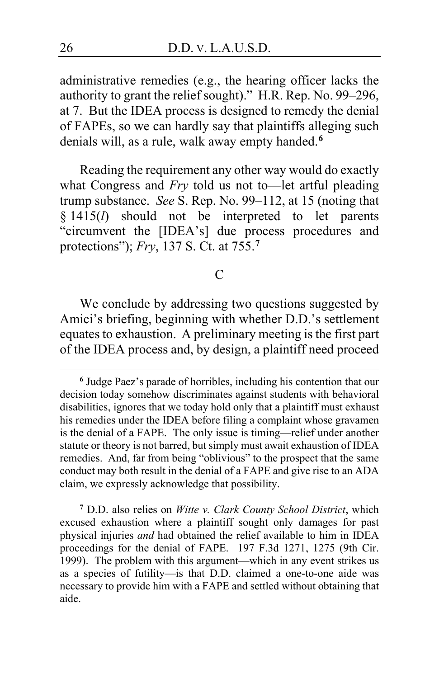administrative remedies (e.g., the hearing officer lacks the authority to grant the relief sought)." H.R. Rep. No. 99–296, at 7. But the IDEA process is designed to remedy the denial of FAPEs, so we can hardly say that plaintiffs alleging such denials will, as a rule, walk away empty handed.**[6](#page-25-0)**

<span id="page-25-2"></span>Reading the requirement any other way would do exactly what Congress and *Fry* told us not to—let artful pleading trump substance. *See* S. Rep. No. 99–112, at 15 (noting that § 1415(*l*) should not be interpreted to let parents "circumvent the [IDEA's] due process procedures and protections"); *Fry*, 137 S. Ct. at 755.**[7](#page-25-1)**

## $\mathcal{C}$

We conclude by addressing two questions suggested by Amici's briefing, beginning with whether D.D.'s settlement equates to exhaustion. A preliminary meeting is the first part of the IDEA process and, by design, a plaintiff need proceed

<span id="page-25-1"></span>**<sup>7</sup>** D.D. also relies on *Witte v. Clark County School District*, which excused exhaustion where a plaintiff sought only damages for past physical injuries *and* had obtained the relief available to him in IDEA proceedings for the denial of FAPE. 197 F.3d 1271, 1275 (9th Cir. 1999). The problem with this argument—which in any event strikes us as a species of futility—is that D.D. claimed a one-to-one aide was necessary to provide him with a FAPE and settled without obtaining that aide.

<span id="page-25-0"></span>**<sup>6</sup>** Judge Paez's parade of horribles, including his contention that our decision today somehow discriminates against students with behavioral disabilities, ignores that we today hold only that a plaintiff must exhaust his remedies under the IDEA before filing a complaint whose gravamen is the denial of a FAPE. The only issue is timing—relief under another statute or theory is not barred, but simply must await exhaustion of IDEA remedies. And, far from being "oblivious" to the prospect that the same conduct may both result in the denial of a FAPE and give rise to an ADA claim, we expressly acknowledge that possibility.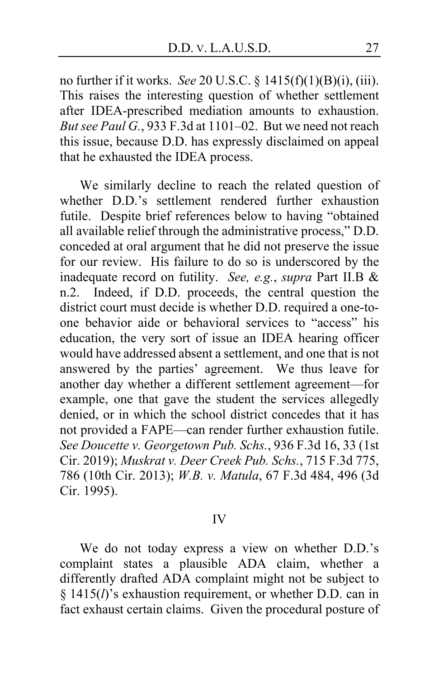<span id="page-26-1"></span><span id="page-26-0"></span>no further if it works. *See* 20 U.S.C. § 1415(f)(1)(B)(i), (iii). This raises the interesting question of whether settlement after IDEA-prescribed mediation amounts to exhaustion. *But see Paul G.*, 933 F.3d at 1101–02. But we need not reach this issue, because D.D. has expressly disclaimed on appeal that he exhausted the IDEA process.

We similarly decline to reach the related question of whether D.D.'s settlement rendered further exhaustion futile. Despite brief references below to having "obtained all available relief through the administrative process," D.D. conceded at oral argument that he did not preserve the issue for our review. His failure to do so is underscored by the inadequate record on futility. *See, e.g.*, *supra* Part II.B & n.2. Indeed, if D.D. proceeds, the central question the district court must decide is whether D.D. required a one-toone behavior aide or behavioral services to "access" his education, the very sort of issue an IDEA hearing officer would have addressed absent a settlement, and one that is not answered by the parties' agreement. We thus leave for another day whether a different settlement agreement—for example, one that gave the student the services allegedly denied, or in which the school district concedes that it has not provided a FAPE—can render further exhaustion futile. *See Doucette v. Georgetown Pub. Schs.*, 936 F.3d 16, 33 (1st Cir. 2019); *Muskrat v. Deer Creek Pub. Schs.*, 715 F.3d 775, 786 (10th Cir. 2013); *W.B. v. Matula*, 67 F.3d 484, 496 (3d Cir. 1995).

#### IV

We do not today express a view on whether D.D.'s complaint states a plausible ADA claim, whether a differently drafted ADA complaint might not be subject to § 1415(*l*)'s exhaustion requirement, or whether D.D. can in fact exhaust certain claims. Given the procedural posture of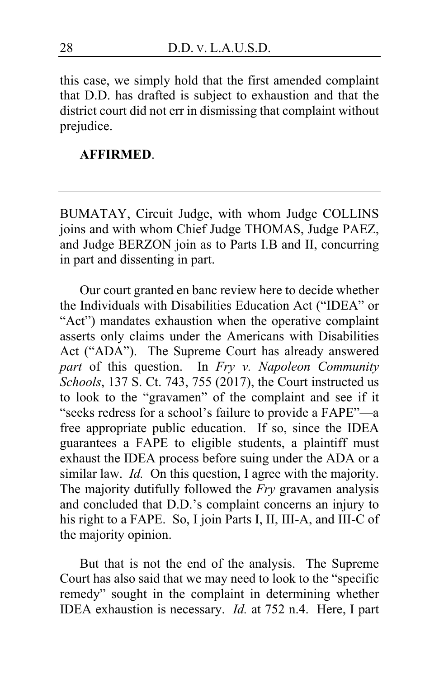this case, we simply hold that the first amended complaint that D.D. has drafted is subject to exhaustion and that the district court did not err in dismissing that complaint without prejudice.

## **AFFIRMED**.

BUMATAY, Circuit Judge, with whom Judge COLLINS joins and with whom Chief Judge THOMAS, Judge PAEZ, and Judge BERZON join as to Parts I.B and II, concurring in part and dissenting in part.

Our court granted en banc review here to decide whether the Individuals with Disabilities Education Act ("IDEA" or "Act") mandates exhaustion when the operative complaint asserts only claims under the Americans with Disabilities Act ("ADA"). The Supreme Court has already answered *part* of this question. In *Fry v. Napoleon Community Schools*, 137 S. Ct. 743, 755 (2017), the Court instructed us to look to the "gravamen" of the complaint and see if it "seeks redress for a school's failure to provide a FAPE"—a free appropriate public education. If so, since the IDEA guarantees a FAPE to eligible students, a plaintiff must exhaust the IDEA process before suing under the ADA or a similar law. *Id.* On this question, I agree with the majority. The majority dutifully followed the *Fry* gravamen analysis and concluded that D.D.'s complaint concerns an injury to his right to a FAPE. So, I join Parts I, II, III-A, and III-C of the majority opinion.

But that is not the end of the analysis. The Supreme Court has also said that we may need to look to the "specific remedy" sought in the complaint in determining whether IDEA exhaustion is necessary. *Id.* at 752 n.4. Here, I part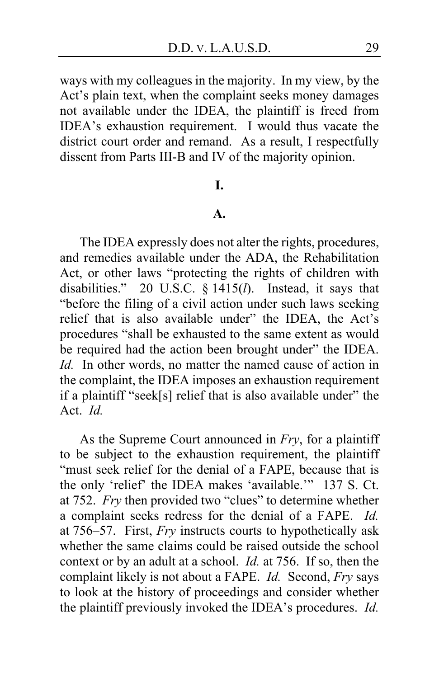ways with my colleagues in the majority. In my view, by the Act's plain text, when the complaint seeks money damages not available under the IDEA, the plaintiff is freed from IDEA's exhaustion requirement. I would thus vacate the district court order and remand. As a result, I respectfully dissent from Parts III-B and IV of the majority opinion.

## **I.**

## **A.**

The IDEA expressly does not alter the rights, procedures, and remedies available under the ADA, the Rehabilitation Act, or other laws "protecting the rights of children with disabilities." 20 U.S.C. § 1415(*l*). Instead, it says that "before the filing of a civil action under such laws seeking relief that is also available under" the IDEA, the Act's procedures "shall be exhausted to the same extent as would be required had the action been brought under" the IDEA. *Id.* In other words, no matter the named cause of action in the complaint, the IDEA imposes an exhaustion requirement if a plaintiff "seek[s] relief that is also available under" the Act. *Id.*

As the Supreme Court announced in *Fry*, for a plaintiff to be subject to the exhaustion requirement, the plaintiff "must seek relief for the denial of a FAPE, because that is the only 'relief' the IDEA makes 'available.'" 137 S. Ct. at 752. *Fry* then provided two "clues" to determine whether a complaint seeks redress for the denial of a FAPE. *Id.* at 756–57. First, *Fry* instructs courts to hypothetically ask whether the same claims could be raised outside the school context or by an adult at a school. *Id.* at 756. If so, then the complaint likely is not about a FAPE. *Id.* Second, *Fry* says to look at the history of proceedings and consider whether the plaintiff previously invoked the IDEA's procedures. *Id.*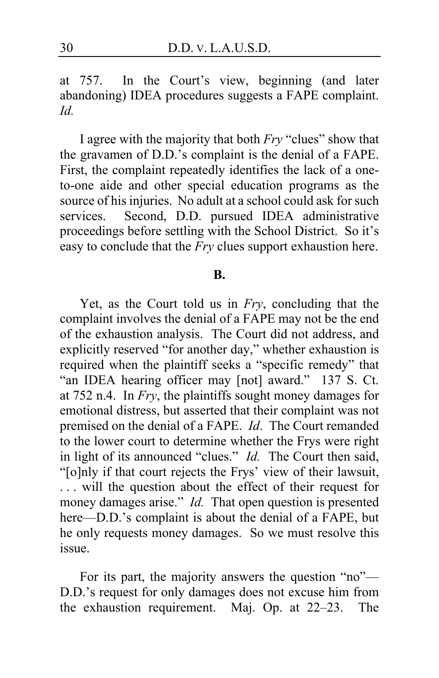at 757. In the Court's view, beginning (and later abandoning) IDEA procedures suggests a FAPE complaint. *Id.*

I agree with the majority that both *Fry* "clues" show that the gravamen of D.D.'s complaint is the denial of a FAPE. First, the complaint repeatedly identifies the lack of a oneto-one aide and other special education programs as the source of his injuries. No adult at a school could ask for such services. Second, D.D. pursued IDEA administrative Second, D.D. pursued IDEA administrative proceedings before settling with the School District. So it's easy to conclude that the *Fry* clues support exhaustion here.

#### **B.**

Yet, as the Court told us in *Fry*, concluding that the complaint involves the denial of a FAPE may not be the end of the exhaustion analysis. The Court did not address, and explicitly reserved "for another day," whether exhaustion is required when the plaintiff seeks a "specific remedy" that "an IDEA hearing officer may [not] award." 137 S. Ct. at 752 n.4. In *Fry*, the plaintiffs sought money damages for emotional distress, but asserted that their complaint was not premised on the denial of a FAPE. *Id*. The Court remanded to the lower court to determine whether the Frys were right in light of its announced "clues." *Id.* The Court then said, "[o]nly if that court rejects the Frys' view of their lawsuit, ... will the question about the effect of their request for money damages arise." *Id.* That open question is presented here—D.D.'s complaint is about the denial of a FAPE, but he only requests money damages. So we must resolve this issue.

For its part, the majority answers the question "no"— D.D.'s request for only damages does not excuse him from the exhaustion requirement. Maj. Op. at [22–](#page-21-0)[23.](#page-22-1) The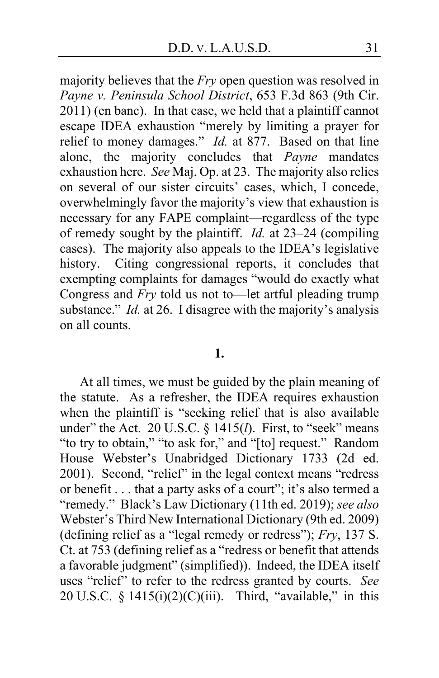majority believes that the *Fry* open question was resolved in *Payne v. Peninsula School District*, 653 F.3d 863 (9th Cir. 2011) (en banc). In that case, we held that a plaintiff cannot escape IDEA exhaustion "merely by limiting a prayer for relief to money damages." *Id.* at 877. Based on that line alone, the majority concludes that *Payne* mandates exhaustion here. *See* Maj. Op. at [23.](#page-22-2) The majority also relies on several of our sister circuits' cases, which, I concede, overwhelmingly favor the majority's view that exhaustion is necessary for any FAPE complaint—regardless of the type of remedy sought by the plaintiff. *Id.* at [23](#page-22-3)[–24](#page-23-1) (compiling cases). The majority also appeals to the IDEA's legislative history. Citing congressional reports, it concludes that exempting complaints for damages "would do exactly what Congress and *Fry* told us not to—let artful pleading trump substance." *Id.* at [26.](#page-25-2) I disagree with the majority's analysis on all counts.

#### **1.**

At all times, we must be guided by the plain meaning of the statute. As a refresher, the IDEA requires exhaustion when the plaintiff is "seeking relief that is also available under" the Act. 20 U.S.C. § 1415(*l*). First, to "seek" means "to try to obtain," "to ask for," and "[to] request." Random House Webster's Unabridged Dictionary 1733 (2d ed. 2001). Second, "relief" in the legal context means "redress or benefit . . . that a party asks of a court"; it's also termed a "remedy." Black's Law Dictionary (11th ed. 2019); *see also* Webster's Third New International Dictionary (9th ed. 2009) (defining relief as a "legal remedy or redress"); *Fry*, 137 S. Ct. at 753 (defining relief as a "redress or benefit that attends a favorable judgment" (simplified)). Indeed, the IDEA itself uses "relief" to refer to the redress granted by courts. *See* 20 U.S.C. §  $1415(i)(2)(C)(iii)$ . Third, "available," in this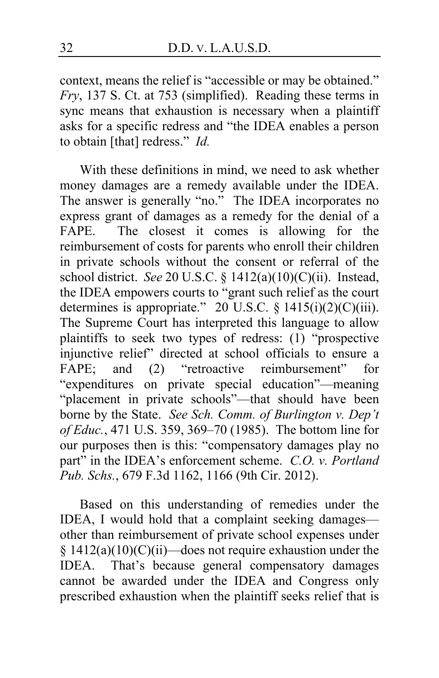context, means the relief is "accessible or may be obtained." *Fry*, 137 S. Ct. at 753 (simplified). Reading these terms in sync means that exhaustion is necessary when a plaintiff asks for a specific redress and "the IDEA enables a person to obtain [that] redress." *Id.*

With these definitions in mind, we need to ask whether money damages are a remedy available under the IDEA. The answer is generally "no." The IDEA incorporates no express grant of damages as a remedy for the denial of a FAPE. The closest it comes is allowing for the reimbursement of costs for parents who enroll their children in private schools without the consent or referral of the school district. *See* 20 U.S.C. § 1412(a)(10)(C)(ii). Instead, the IDEA empowers courts to "grant such relief as the court determines is appropriate." 20 U.S.C.  $\S$  1415(i)(2)(C)(iii). The Supreme Court has interpreted this language to allow plaintiffs to seek two types of redress: (1) "prospective injunctive relief" directed at school officials to ensure a FAPE; and (2) "retroactive reimbursement" for "expenditures on private special education"—meaning "placement in private schools"—that should have been borne by the State. *See Sch. Comm. of Burlington v. Dep't of Educ.*, 471 U.S. 359, 369–70 (1985). The bottom line for our purposes then is this: "compensatory damages play no part" in the IDEA's enforcement scheme. *C.O. v. Portland Pub. Schs.*, 679 F.3d 1162, 1166 (9th Cir. 2012).

<span id="page-31-0"></span>Based on this understanding of remedies under the IDEA, I would hold that a complaint seeking damages other than reimbursement of private school expenses under  $§ 1412(a)(10)(C)(ii)$ —does not require exhaustion under the IDEA. That's because general compensatory damages cannot be awarded under the IDEA and Congress only prescribed exhaustion when the plaintiff seeks relief that is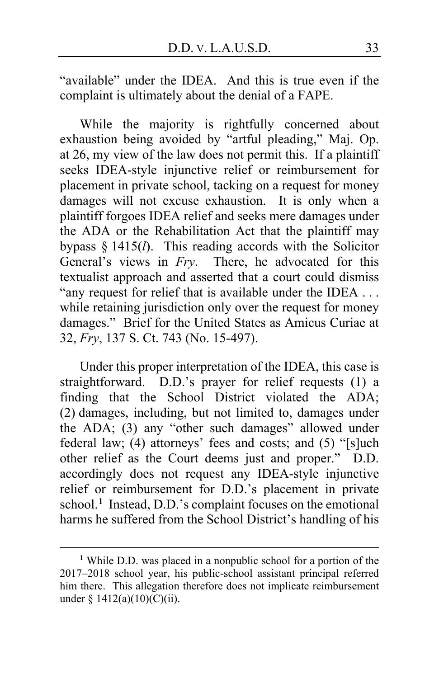"available" under the IDEA. And this is true even if the complaint is ultimately about the denial of a FAPE.

While the majority is rightfully concerned about exhaustion being avoided by "artful pleading," Maj. Op. at [26,](#page-25-2) my view of the law does not permit this. If a plaintiff seeks IDEA-style injunctive relief or reimbursement for placement in private school, tacking on a request for money damages will not excuse exhaustion. It is only when a plaintiff forgoes IDEA relief and seeks mere damages under the ADA or the Rehabilitation Act that the plaintiff may bypass § 1415(*l*). This reading accords with the Solicitor General's views in *Fry*. There, he advocated for this textualist approach and asserted that a court could dismiss "any request for relief that is available under the IDEA ... while retaining jurisdiction only over the request for money damages." Brief for the United States as Amicus Curiae at 32, *Fry*, 137 S. Ct. 743 (No. 15-497).

Under this proper interpretation of the IDEA, this case is straightforward. D.D.'s prayer for relief requests (1) a finding that the School District violated the ADA; (2) damages, including, but not limited to, damages under the ADA; (3) any "other such damages" allowed under federal law; (4) attorneys' fees and costs; and (5) "[s]uch other relief as the Court deems just and proper." D.D. accordingly does not request any IDEA-style injunctive relief or reimbursement for D.D.'s placement in private school.**[1](#page-32-0)** Instead, D.D.'s complaint focuses on the emotional harms he suffered from the School District's handling of his

<span id="page-32-0"></span>**<sup>1</sup>** While D.D. was placed in a nonpublic school for a portion of the 2017–2018 school year, his public-school assistant principal referred him there. This allegation therefore does not implicate reimbursement under §  $1412(a)(10)(C)(ii)$ .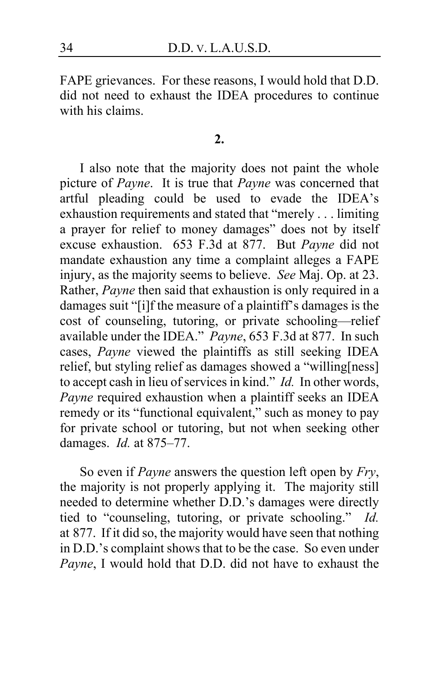FAPE grievances. For these reasons, I would hold that D.D. did not need to exhaust the IDEA procedures to continue with his claims.

#### **2.**

I also note that the majority does not paint the whole picture of *Payne*. It is true that *Payne* was concerned that artful pleading could be used to evade the IDEA's exhaustion requirements and stated that "merely . . . limiting a prayer for relief to money damages" does not by itself excuse exhaustion. 653 F.3d at 877. But *Payne* did not mandate exhaustion any time a complaint alleges a FAPE injury, as the majority seems to believe. *See* Maj. Op. at [23.](#page-22-4) Rather, *Payne* then said that exhaustion is only required in a damages suit "[i]f the measure of a plaintiff's damages is the cost of counseling, tutoring, or private schooling—relief available under the IDEA." *Payne*, 653 F.3d at 877. In such cases, *Payne* viewed the plaintiffs as still seeking IDEA relief, but styling relief as damages showed a "willing[ness] to accept cash in lieu of services in kind." *Id.* In other words, *Payne* required exhaustion when a plaintiff seeks an IDEA remedy or its "functional equivalent," such as money to pay for private school or tutoring, but not when seeking other damages. *Id.* at 875–77.

So even if *Payne* answers the question left open by *Fry*, the majority is not properly applying it. The majority still needed to determine whether D.D.'s damages were directly tied to "counseling, tutoring, or private schooling." *Id.* at 877. If it did so, the majority would have seen that nothing in D.D.'s complaint shows that to be the case. So even under *Payne*, I would hold that D.D. did not have to exhaust the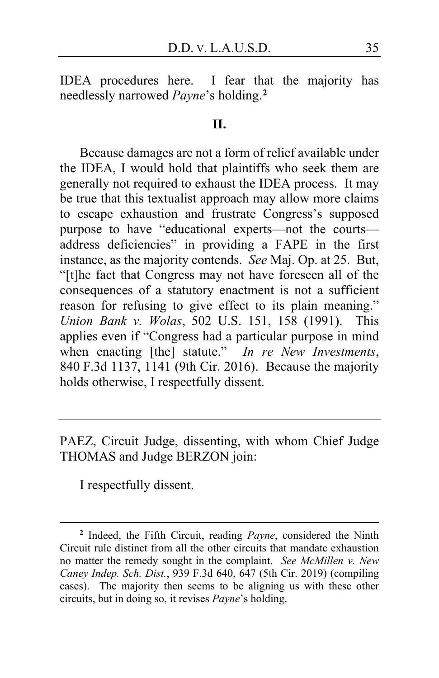IDEA procedures here. I fear that the majority has needlessly narrowed *Payne*'s holding.**[2](#page-34-0)**

#### **II.**

Because damages are not a form of relief available under the IDEA, I would hold that plaintiffs who seek them are generally not required to exhaust the IDEA process. It may be true that this textualist approach may allow more claims to escape exhaustion and frustrate Congress's supposed purpose to have "educational experts—not the courts address deficiencies" in providing a FAPE in the first instance, as the majority contends. *See* Maj. Op. at [25.](#page-24-0) But, "[t]he fact that Congress may not have foreseen all of the consequences of a statutory enactment is not a sufficient reason for refusing to give effect to its plain meaning." *Union Bank v. Wolas*, 502 U.S. 151, 158 (1991). This applies even if "Congress had a particular purpose in mind when enacting [the] statute." *In re New Investments*, 840 F.3d 1137, 1141 (9th Cir. 2016). Because the majority holds otherwise, I respectfully dissent.

PAEZ, Circuit Judge, dissenting, with whom Chief Judge THOMAS and Judge BERZON join:

I respectfully dissent.

<span id="page-34-0"></span>**<sup>2</sup>** Indeed, the Fifth Circuit, reading *Payne*, considered the Ninth Circuit rule distinct from all the other circuits that mandate exhaustion no matter the remedy sought in the complaint. *See McMillen v. New Caney Indep. Sch. Dist.*, 939 F.3d 640, 647 (5th Cir. 2019) (compiling cases). The majority then seems to be aligning us with these other circuits, but in doing so, it revises *Payne*'s holding.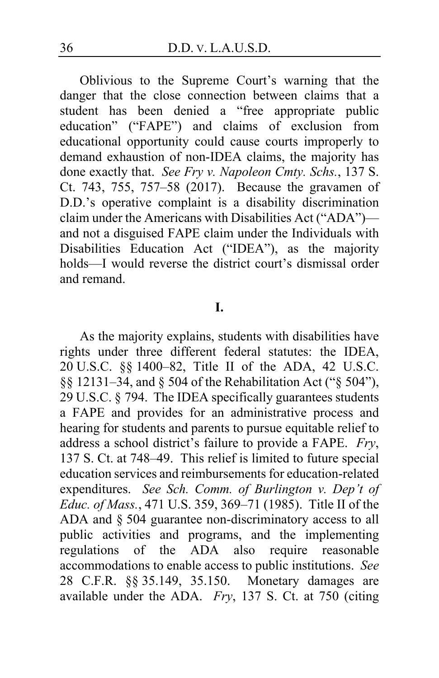Oblivious to the Supreme Court's warning that the danger that the close connection between claims that a student has been denied a "free appropriate public education" ("FAPE") and claims of exclusion from educational opportunity could cause courts improperly to demand exhaustion of non-IDEA claims, the majority has done exactly that. *See Fry v. Napoleon Cmty. Schs.*, 137 S. Ct. 743, 755, 757–58 (2017). Because the gravamen of D.D.'s operative complaint is a disability discrimination claim under the Americans with Disabilities Act ("ADA") and not a disguised FAPE claim under the Individuals with Disabilities Education Act ("IDEA"), as the majority holds—I would reverse the district court's dismissal order and remand.

#### **I.**

As the majority explains, students with disabilities have rights under three different federal statutes: the IDEA, 20 U.S.C. §§ 1400–82, Title II of the ADA, 42 U.S.C. §§ 12131–34, and § 504 of the Rehabilitation Act ("§ 504"), 29 U.S.C. § 794. The IDEA specifically guarantees students a FAPE and provides for an administrative process and hearing for students and parents to pursue equitable relief to address a school district's failure to provide a FAPE. *Fry*, 137 S. Ct. at 748–49. This relief is limited to future special education services and reimbursements for education-related expenditures. *See Sch. Comm. of Burlington v. Dep't of Educ. of Mass.*, 471 U.S. 359, 369–71 (1985). Title II of the ADA and § 504 guarantee non-discriminatory access to all public activities and programs, and the implementing regulations of the ADA also require reasonable accommodations to enable access to public institutions. *See*  28 C.F.R. §§ 35.149, 35.150. Monetary damages are available under the ADA. *Fry*, 137 S. Ct. at 750 (citing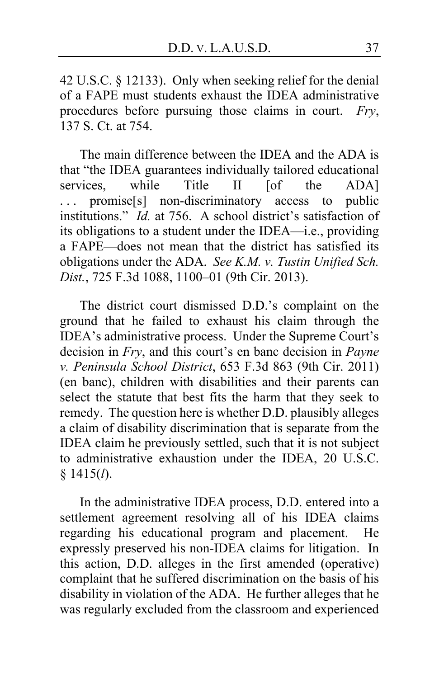42 U.S.C. § 12133). Only when seeking relief for the denial of a FAPE must students exhaust the IDEA administrative procedures before pursuing those claims in court. *Fry*, 137 S. Ct. at 754.

The main difference between the IDEA and the ADA is that "the IDEA guarantees individually tailored educational services, while Title II [of the ADA] ... promise[s] non-discriminatory access to public institutions." *Id.* at 756. A school district's satisfaction of its obligations to a student under the IDEA—i.e., providing a FAPE—does not mean that the district has satisfied its obligations under the ADA. *See K.M. v. Tustin Unified Sch. Dist.*, 725 F.3d 1088, 1100–01 (9th Cir. 2013).

The district court dismissed D.D.'s complaint on the ground that he failed to exhaust his claim through the IDEA's administrative process. Under the Supreme Court's decision in *Fry*, and this court's en banc decision in *Payne v. Peninsula School District*, 653 F.3d 863 (9th Cir. 2011) (en banc), children with disabilities and their parents can select the statute that best fits the harm that they seek to remedy. The question here is whether D.D. plausibly alleges a claim of disability discrimination that is separate from the IDEA claim he previously settled, such that it is not subject to administrative exhaustion under the IDEA, 20 U.S.C. § 1415(*l*).

In the administrative IDEA process, D.D. entered into a settlement agreement resolving all of his IDEA claims regarding his educational program and placement. He expressly preserved his non-IDEA claims for litigation. In this action, D.D. alleges in the first amended (operative) complaint that he suffered discrimination on the basis of his disability in violation of the ADA. He further alleges that he was regularly excluded from the classroom and experienced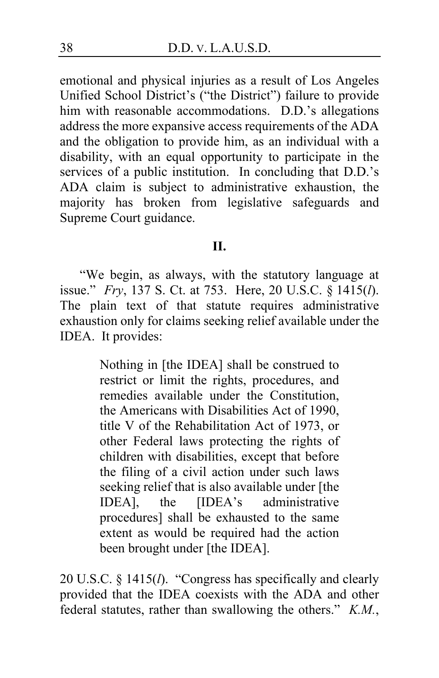emotional and physical injuries as a result of Los Angeles Unified School District's ("the District") failure to provide him with reasonable accommodations. D.D.'s allegations address the more expansive access requirements of the ADA and the obligation to provide him, as an individual with a disability, with an equal opportunity to participate in the services of a public institution. In concluding that D.D.'s ADA claim is subject to administrative exhaustion, the majority has broken from legislative safeguards and Supreme Court guidance.

## **II.**

"We begin, as always, with the statutory language at issue." *Fry*, 137 S. Ct. at 753. Here, 20 U.S.C. § 1415(*l*). The plain text of that statute requires administrative exhaustion only for claims seeking relief available under the IDEA. It provides:

> Nothing in [the IDEA] shall be construed to restrict or limit the rights, procedures, and remedies available under the Constitution, the Americans with Disabilities Act of 1990, title V of the Rehabilitation Act of 1973, or other Federal laws protecting the rights of children with disabilities, except that before the filing of a civil action under such laws seeking relief that is also available under [the IDEA], the [IDEA's administrative procedures] shall be exhausted to the same extent as would be required had the action been brought under [the IDEA].

20 U.S.C. § 1415(*l*). "Congress has specifically and clearly provided that the IDEA coexists with the ADA and other federal statutes, rather than swallowing the others." *K.M.*,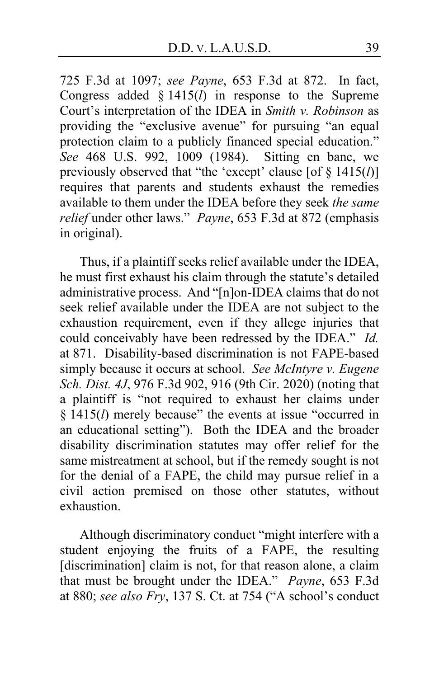725 F.3d at 1097; *see Payne*, 653 F.3d at 872. In fact, Congress added § 1415(*l*) in response to the Supreme Court's interpretation of the IDEA in *Smith v. Robinson* as providing the "exclusive avenue" for pursuing "an equal protection claim to a publicly financed special education." *See* 468 U.S. 992, 1009 (1984). Sitting en banc, we previously observed that "the 'except' clause [of § 1415(*l*)] requires that parents and students exhaust the remedies available to them under the IDEA before they seek *the same relief* under other laws." *Payne*, 653 F.3d at 872 (emphasis in original).

Thus, if a plaintiff seeks relief available under the IDEA, he must first exhaust his claim through the statute's detailed administrative process. And "[n]on-IDEA claims that do not seek relief available under the IDEA are not subject to the exhaustion requirement, even if they allege injuries that could conceivably have been redressed by the IDEA." *Id.* at 871. Disability-based discrimination is not FAPE-based simply because it occurs at school. *See McIntyre v. Eugene Sch. Dist. 4J*, 976 F.3d 902, 916 (9th Cir. 2020) (noting that a plaintiff is "not required to exhaust her claims under § 1415(*l*) merely because" the events at issue "occurred in an educational setting"). Both the IDEA and the broader disability discrimination statutes may offer relief for the same mistreatment at school, but if the remedy sought is not for the denial of a FAPE, the child may pursue relief in a civil action premised on those other statutes, without exhaustion.

Although discriminatory conduct "might interfere with a student enjoying the fruits of a FAPE, the resulting [discrimination] claim is not, for that reason alone, a claim that must be brought under the IDEA." *Payne*, 653 F.3d at 880; *see also Fry*, 137 S. Ct. at 754 ("A school's conduct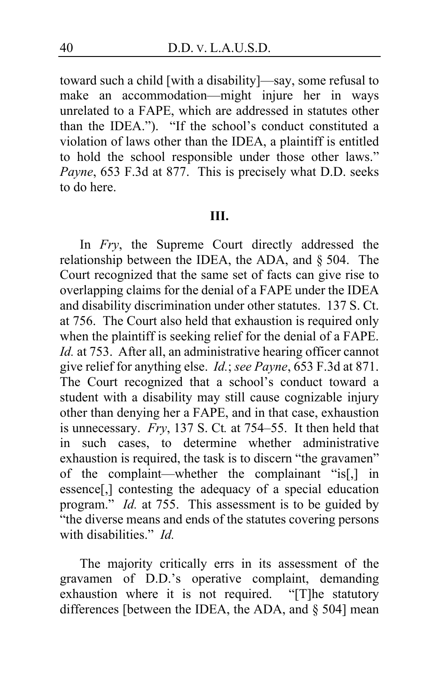toward such a child [with a disability]—say, some refusal to make an accommodation—might injure her in ways unrelated to a FAPE, which are addressed in statutes other than the IDEA."). "If the school's conduct constituted a violation of laws other than the IDEA, a plaintiff is entitled to hold the school responsible under those other laws." *Payne*, 653 F.3d at 877. This is precisely what D.D. seeks to do here.

## **III.**

In *Fry*, the Supreme Court directly addressed the relationship between the IDEA, the ADA, and § 504. The Court recognized that the same set of facts can give rise to overlapping claims for the denial of a FAPE under the IDEA and disability discrimination under other statutes. 137 S. Ct. at 756. The Court also held that exhaustion is required only when the plaintiff is seeking relief for the denial of a FAPE. *Id.* at 753. After all, an administrative hearing officer cannot give relief for anything else. *Id.*; *see Payne*, 653 F.3d at 871. The Court recognized that a school's conduct toward a student with a disability may still cause cognizable injury other than denying her a FAPE, and in that case, exhaustion is unnecessary. *Fry*, 137 S. Ct*.* at 754–55. It then held that in such cases, to determine whether administrative exhaustion is required, the task is to discern "the gravamen" of the complaint—whether the complainant "is[,] in essence[,] contesting the adequacy of a special education program." *Id.* at 755. This assessment is to be guided by "the diverse means and ends of the statutes covering persons with disabilities." *Id.*

The majority critically errs in its assessment of the gravamen of D.D.'s operative complaint, demanding exhaustion where it is not required. "[T]he statutory differences [between the IDEA, the ADA, and § 504] mean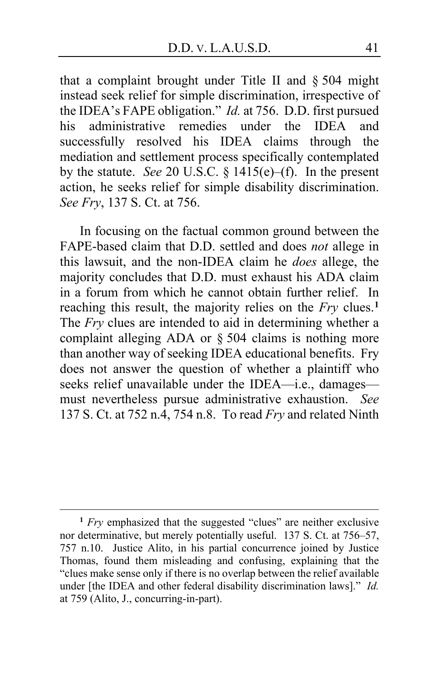that a complaint brought under Title II and § 504 might instead seek relief for simple discrimination, irrespective of the IDEA's FAPE obligation." *Id.* at 756. D.D. first pursued his administrative remedies under the IDEA and successfully resolved his IDEA claims through the mediation and settlement process specifically contemplated by the statute. *See* 20 U.S.C. § 1415(e)–(f). In the present action, he seeks relief for simple disability discrimination. *See Fry*, 137 S. Ct. at 756.

In focusing on the factual common ground between the FAPE-based claim that D.D. settled and does *not* allege in this lawsuit, and the non-IDEA claim he *does* allege, the majority concludes that D.D. must exhaust his ADA claim in a forum from which he cannot obtain further relief. In reaching this result, the majority relies on the *Fry* clues.**[1](#page-40-0)** The *Fry* clues are intended to aid in determining whether a complaint alleging ADA or § 504 claims is nothing more than another way of seeking IDEA educational benefits. Fry does not answer the question of whether a plaintiff who seeks relief unavailable under the IDEA—i.e., damages must nevertheless pursue administrative exhaustion. *See*  137 S. Ct. at 752 n.4, 754 n.8. To read *Fry* and related Ninth

<span id="page-40-0"></span>**<sup>1</sup>** *Fry* emphasized that the suggested "clues" are neither exclusive nor determinative, but merely potentially useful. 137 S. Ct. at 756–57, 757 n.10. Justice Alito, in his partial concurrence joined by Justice Thomas, found them misleading and confusing, explaining that the "clues make sense only if there is no overlap between the relief available under [the IDEA and other federal disability discrimination laws]." *Id.* at 759 (Alito, J., concurring-in-part).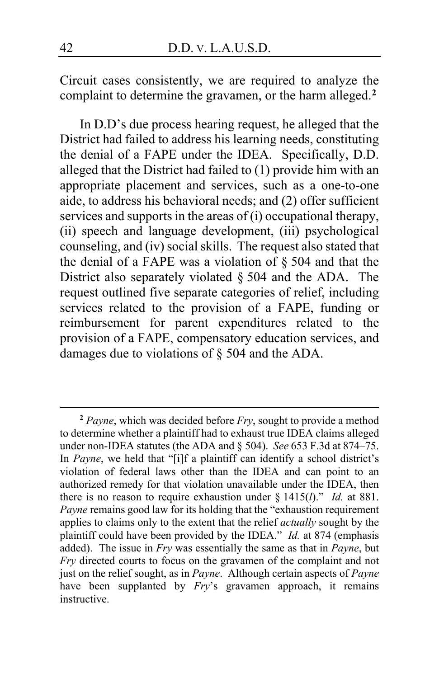Circuit cases consistently, we are required to analyze the complaint to determine the gravamen, or the harm alleged.**[2](#page-41-0)**

In D.D's due process hearing request, he alleged that the District had failed to address his learning needs, constituting the denial of a FAPE under the IDEA. Specifically, D.D. alleged that the District had failed to (1) provide him with an appropriate placement and services, such as a one-to-one aide, to address his behavioral needs; and (2) offer sufficient services and supports in the areas of (i) occupational therapy, (ii) speech and language development, (iii) psychological counseling, and (iv) social skills. The request also stated that the denial of a FAPE was a violation of § 504 and that the District also separately violated § 504 and the ADA. The request outlined five separate categories of relief, including services related to the provision of a FAPE, funding or reimbursement for parent expenditures related to the provision of a FAPE, compensatory education services, and damages due to violations of § 504 and the ADA.

<span id="page-41-0"></span>**<sup>2</sup>** *Payne*, which was decided before *Fry*, sought to provide a method to determine whether a plaintiff had to exhaust true IDEA claims alleged under non-IDEA statutes (the ADA and § 504). *See* 653 F.3d at 874–75. In *Payne*, we held that "[i]f a plaintiff can identify a school district's violation of federal laws other than the IDEA and can point to an authorized remedy for that violation unavailable under the IDEA, then there is no reason to require exhaustion under § 1415(*l*)." *Id.* at 881. *Payne* remains good law for its holding that the "exhaustion requirement applies to claims only to the extent that the relief *actually* sought by the plaintiff could have been provided by the IDEA." *Id.* at 874 (emphasis added). The issue in *Fry* was essentially the same as that in *Payne*, but *Fry* directed courts to focus on the gravamen of the complaint and not just on the relief sought, as in *Payne*. Although certain aspects of *Payne*  have been supplanted by *Fry's* gravamen approach, it remains instructive.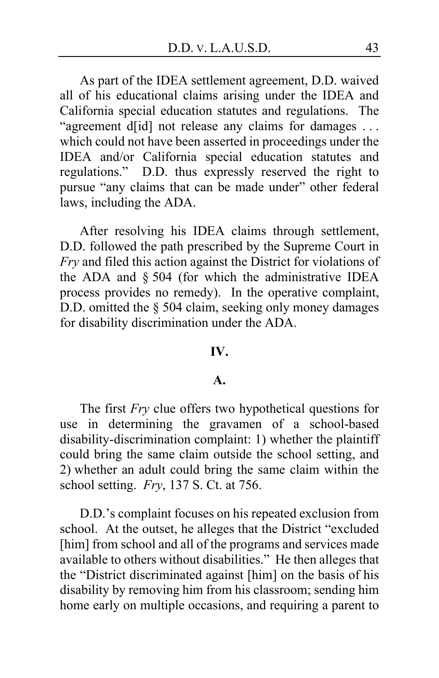As part of the IDEA settlement agreement, D.D. waived all of his educational claims arising under the IDEA and California special education statutes and regulations. The "agreement d[id] not release any claims for damages ... which could not have been asserted in proceedings under the IDEA and/or California special education statutes and regulations." D.D. thus expressly reserved the right to pursue "any claims that can be made under" other federal laws, including the ADA.

After resolving his IDEA claims through settlement, D.D. followed the path prescribed by the Supreme Court in *Fry* and filed this action against the District for violations of the ADA and § 504 (for which the administrative IDEA process provides no remedy). In the operative complaint, D.D. omitted the § 504 claim, seeking only money damages for disability discrimination under the ADA.

#### **IV.**

#### **A.**

The first *Fry* clue offers two hypothetical questions for use in determining the gravamen of a school-based disability-discrimination complaint: 1) whether the plaintiff could bring the same claim outside the school setting, and 2) whether an adult could bring the same claim within the school setting. *Fry*, 137 S. Ct. at 756.

D.D.'s complaint focuses on his repeated exclusion from school. At the outset, he alleges that the District "excluded [him] from school and all of the programs and services made available to others without disabilities." He then alleges that the "District discriminated against [him] on the basis of his disability by removing him from his classroom; sending him home early on multiple occasions, and requiring a parent to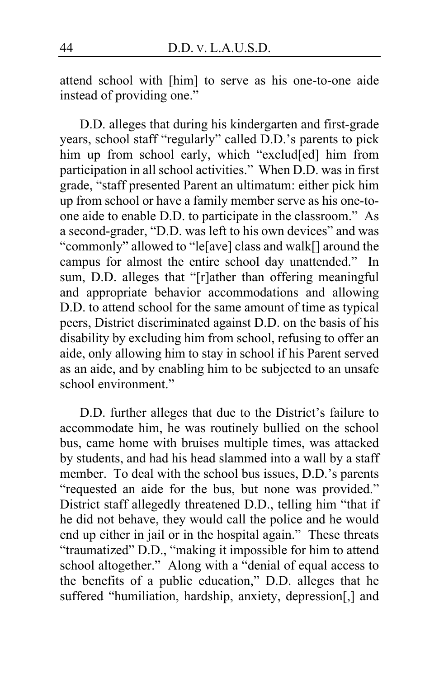attend school with [him] to serve as his one-to-one aide instead of providing one."

D.D. alleges that during his kindergarten and first-grade years, school staff "regularly" called D.D.'s parents to pick him up from school early, which "exclud<sup>[ed]</sup> him from participation in all school activities." When D.D. was in first grade, "staff presented Parent an ultimatum: either pick him up from school or have a family member serve as his one-toone aide to enable D.D. to participate in the classroom." As a second-grader, "D.D. was left to his own devices" and was "commonly" allowed to "le[ave] class and walk[] around the campus for almost the entire school day unattended." In sum, D.D. alleges that "[r]ather than offering meaningful and appropriate behavior accommodations and allowing D.D. to attend school for the same amount of time as typical peers, District discriminated against D.D. on the basis of his disability by excluding him from school, refusing to offer an aide, only allowing him to stay in school if his Parent served as an aide, and by enabling him to be subjected to an unsafe school environment."

D.D. further alleges that due to the District's failure to accommodate him, he was routinely bullied on the school bus, came home with bruises multiple times, was attacked by students, and had his head slammed into a wall by a staff member. To deal with the school bus issues, D.D.'s parents "requested an aide for the bus, but none was provided." District staff allegedly threatened D.D., telling him "that if he did not behave, they would call the police and he would end up either in jail or in the hospital again." These threats "traumatized" D.D., "making it impossible for him to attend school altogether." Along with a "denial of equal access to the benefits of a public education," D.D. alleges that he suffered "humiliation, hardship, anxiety, depression[,] and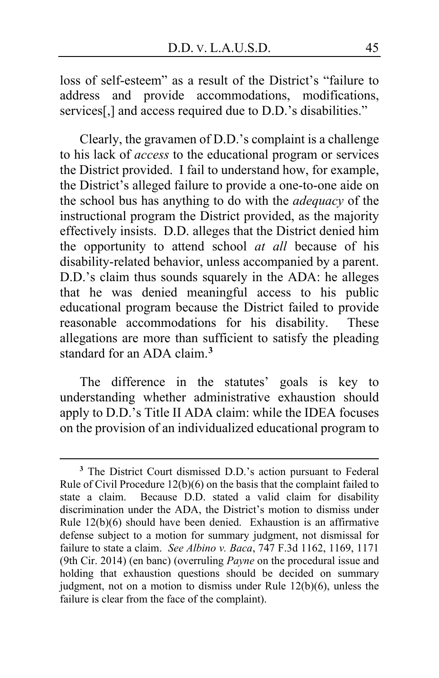loss of self-esteem" as a result of the District's "failure to address and provide accommodations, modifications, services<sup>[1]</sup>, and access required due to D.D.'s disabilities."

Clearly, the gravamen of D.D.'s complaint is a challenge to his lack of *access* to the educational program or services the District provided. I fail to understand how, for example, the District's alleged failure to provide a one-to-one aide on the school bus has anything to do with the *adequacy* of the instructional program the District provided, as the majority effectively insists. D.D. alleges that the District denied him the opportunity to attend school *at all* because of his disability-related behavior, unless accompanied by a parent. D.D.'s claim thus sounds squarely in the ADA: he alleges that he was denied meaningful access to his public educational program because the District failed to provide reasonable accommodations for his disability. These allegations are more than sufficient to satisfy the pleading standard for an ADA claim.**[3](#page-44-0)**

The difference in the statutes' goals is key to understanding whether administrative exhaustion should apply to D.D.'s Title II ADA claim: while the IDEA focuses on the provision of an individualized educational program to

<span id="page-44-0"></span>**<sup>3</sup>** The District Court dismissed D.D.'s action pursuant to Federal Rule of Civil Procedure 12(b)(6) on the basis that the complaint failed to state a claim. Because D.D. stated a valid claim for disability discrimination under the ADA, the District's motion to dismiss under Rule 12(b)(6) should have been denied. Exhaustion is an affirmative defense subject to a motion for summary judgment, not dismissal for failure to state a claim. *See Albino v. Baca*, 747 F.3d 1162, 1169, 1171 (9th Cir. 2014) (en banc) (overruling *Payne* on the procedural issue and holding that exhaustion questions should be decided on summary judgment, not on a motion to dismiss under Rule 12(b)(6), unless the failure is clear from the face of the complaint).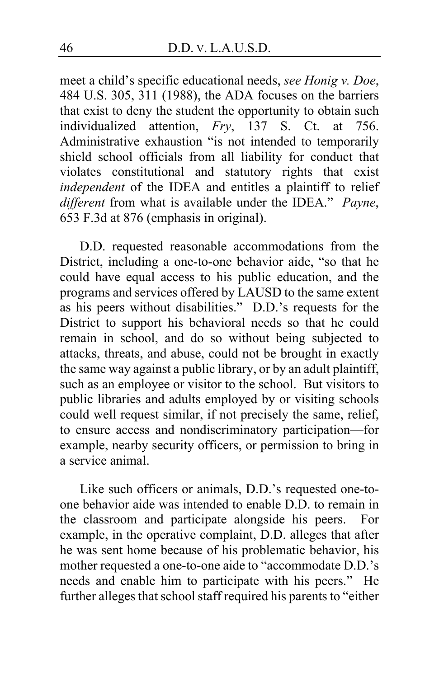meet a child's specific educational needs, *see Honig v. Doe*, 484 U.S. 305, 311 (1988), the ADA focuses on the barriers that exist to deny the student the opportunity to obtain such individualized attention, *Fry*, 137 S. Ct. at 756. Administrative exhaustion "is not intended to temporarily shield school officials from all liability for conduct that violates constitutional and statutory rights that exist *independent* of the IDEA and entitles a plaintiff to relief *different* from what is available under the IDEA." *Payne*, 653 F.3d at 876 (emphasis in original).

D.D. requested reasonable accommodations from the District, including a one-to-one behavior aide, "so that he could have equal access to his public education, and the programs and services offered by LAUSD to the same extent as his peers without disabilities." D.D.'s requests for the District to support his behavioral needs so that he could remain in school, and do so without being subjected to attacks, threats, and abuse, could not be brought in exactly the same way against a public library, or by an adult plaintiff, such as an employee or visitor to the school. But visitors to public libraries and adults employed by or visiting schools could well request similar, if not precisely the same, relief, to ensure access and nondiscriminatory participation—for example, nearby security officers, or permission to bring in a service animal.

Like such officers or animals, D.D.'s requested one-toone behavior aide was intended to enable D.D. to remain in the classroom and participate alongside his peers. For example, in the operative complaint, D.D. alleges that after he was sent home because of his problematic behavior, his mother requested a one-to-one aide to "accommodate D.D.'s needs and enable him to participate with his peers." He further alleges that school staff required his parents to "either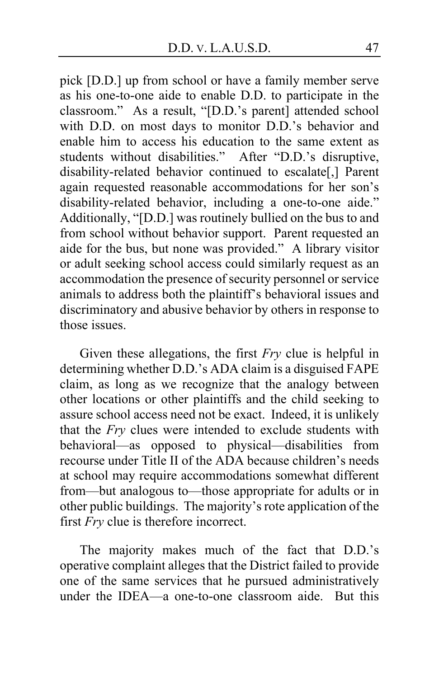pick [D.D.] up from school or have a family member serve as his one-to-one aide to enable D.D. to participate in the classroom." As a result, "[D.D.'s parent] attended school with D.D. on most days to monitor D.D.'s behavior and enable him to access his education to the same extent as students without disabilities." After "D.D.'s disruptive, disability-related behavior continued to escalate[,] Parent again requested reasonable accommodations for her son's disability-related behavior, including a one-to-one aide." Additionally, "[D.D.] was routinely bullied on the bus to and from school without behavior support. Parent requested an aide for the bus, but none was provided." A library visitor or adult seeking school access could similarly request as an accommodation the presence of security personnel or service animals to address both the plaintiff's behavioral issues and discriminatory and abusive behavior by others in response to those issues.

Given these allegations, the first *Fry* clue is helpful in determining whether D.D.'s ADA claim is a disguised FAPE claim, as long as we recognize that the analogy between other locations or other plaintiffs and the child seeking to assure school access need not be exact. Indeed, it is unlikely that the *Fry* clues were intended to exclude students with behavioral—as opposed to physical—disabilities from recourse under Title II of the ADA because children's needs at school may require accommodations somewhat different from—but analogous to—those appropriate for adults or in other public buildings. The majority's rote application of the first *Fry* clue is therefore incorrect.

The majority makes much of the fact that D.D.'s operative complaint alleges that the District failed to provide one of the same services that he pursued administratively under the IDEA—a one-to-one classroom aide. But this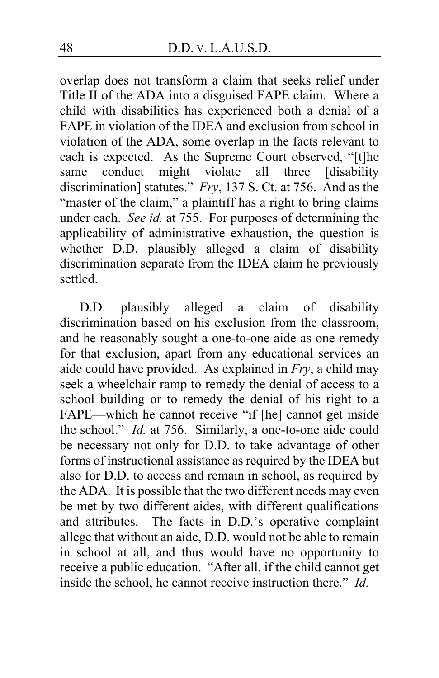overlap does not transform a claim that seeks relief under Title II of the ADA into a disguised FAPE claim. Where a child with disabilities has experienced both a denial of a FAPE in violation of the IDEA and exclusion from school in violation of the ADA, some overlap in the facts relevant to each is expected. As the Supreme Court observed, "[t]he same conduct might violate all three [disability discrimination] statutes." *Fry*, 137 S. Ct. at 756. And as the "master of the claim," a plaintiff has a right to bring claims under each. *See id.* at 755. For purposes of determining the applicability of administrative exhaustion, the question is whether D.D. plausibly alleged a claim of disability discrimination separate from the IDEA claim he previously settled.

D.D. plausibly alleged a claim of disability discrimination based on his exclusion from the classroom, and he reasonably sought a one-to-one aide as one remedy for that exclusion, apart from any educational services an aide could have provided. As explained in *Fry*, a child may seek a wheelchair ramp to remedy the denial of access to a school building or to remedy the denial of his right to a FAPE—which he cannot receive "if [he] cannot get inside the school." *Id.* at 756. Similarly, a one-to-one aide could be necessary not only for D.D. to take advantage of other forms of instructional assistance as required by the IDEA but also for D.D. to access and remain in school, as required by the ADA. It is possible that the two different needs may even be met by two different aides, with different qualifications and attributes. The facts in D.D.'s operative complaint allege that without an aide, D.D. would not be able to remain in school at all, and thus would have no opportunity to receive a public education. "After all, if the child cannot get inside the school, he cannot receive instruction there." *Id.*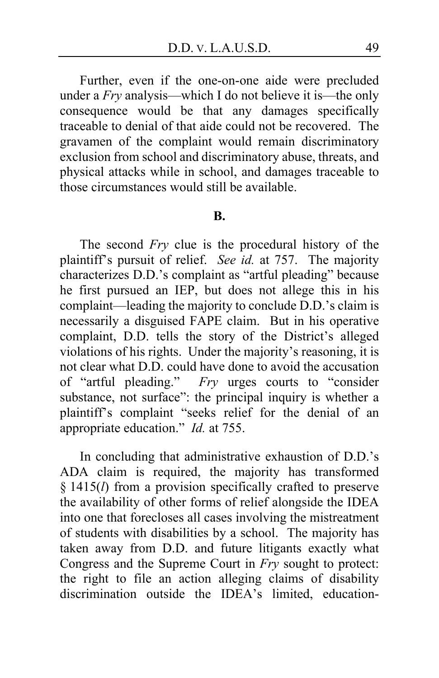Further, even if the one-on-one aide were precluded under a *Fry* analysis—which I do not believe it is—the only consequence would be that any damages specifically traceable to denial of that aide could not be recovered. The gravamen of the complaint would remain discriminatory exclusion from school and discriminatory abuse, threats, and physical attacks while in school, and damages traceable to those circumstances would still be available.

#### **B.**

The second *Fry* clue is the procedural history of the plaintiff's pursuit of relief. *See id.* at 757. The majority characterizes D.D.'s complaint as "artful pleading" because he first pursued an IEP, but does not allege this in his complaint—leading the majority to conclude D.D.'s claim is necessarily a disguised FAPE claim. But in his operative complaint, D.D. tells the story of the District's alleged violations of his rights. Under the majority's reasoning, it is not clear what D.D. could have done to avoid the accusation of "artful pleading." *Fry* urges courts to "consider substance, not surface": the principal inquiry is whether a plaintiff's complaint "seeks relief for the denial of an appropriate education." *Id.* at 755.

In concluding that administrative exhaustion of D.D.'s ADA claim is required, the majority has transformed § 1415(*l*) from a provision specifically crafted to preserve the availability of other forms of relief alongside the IDEA into one that forecloses all cases involving the mistreatment of students with disabilities by a school. The majority has taken away from D.D. and future litigants exactly what Congress and the Supreme Court in *Fry* sought to protect: the right to file an action alleging claims of disability discrimination outside the IDEA's limited, education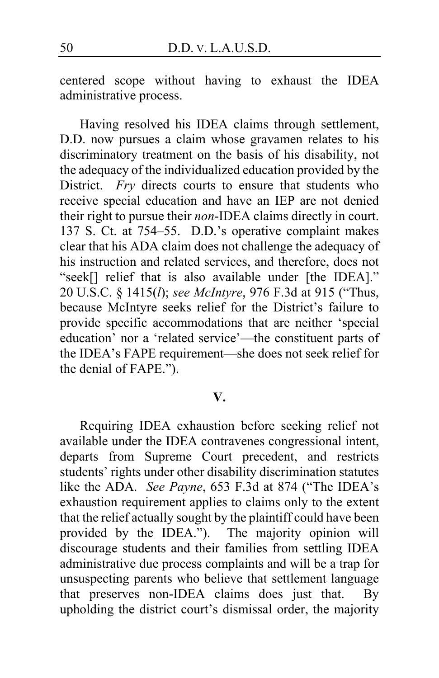centered scope without having to exhaust the IDEA administrative process.

Having resolved his IDEA claims through settlement, D.D. now pursues a claim whose gravamen relates to his discriminatory treatment on the basis of his disability, not the adequacy of the individualized education provided by the District. *Fry* directs courts to ensure that students who receive special education and have an IEP are not denied their right to pursue their *non*-IDEA claims directly in court. 137 S. Ct. at 754–55. D.D.'s operative complaint makes clear that his ADA claim does not challenge the adequacy of his instruction and related services, and therefore, does not "seek[] relief that is also available under [the IDEA]." 20 U.S.C. § 1415(*l*); *see McIntyre*, 976 F.3d at 915 ("Thus, because McIntyre seeks relief for the District's failure to provide specific accommodations that are neither 'special education' nor a 'related service'—the constituent parts of the IDEA's FAPE requirement—she does not seek relief for the denial of FAPE.").

## **V.**

Requiring IDEA exhaustion before seeking relief not available under the IDEA contravenes congressional intent, departs from Supreme Court precedent, and restricts students' rights under other disability discrimination statutes like the ADA. *See Payne*, 653 F.3d at 874 ("The IDEA's exhaustion requirement applies to claims only to the extent that the relief actually sought by the plaintiff could have been provided by the IDEA."). The majority opinion will discourage students and their families from settling IDEA administrative due process complaints and will be a trap for unsuspecting parents who believe that settlement language that preserves non-IDEA claims does just that. By upholding the district court's dismissal order, the majority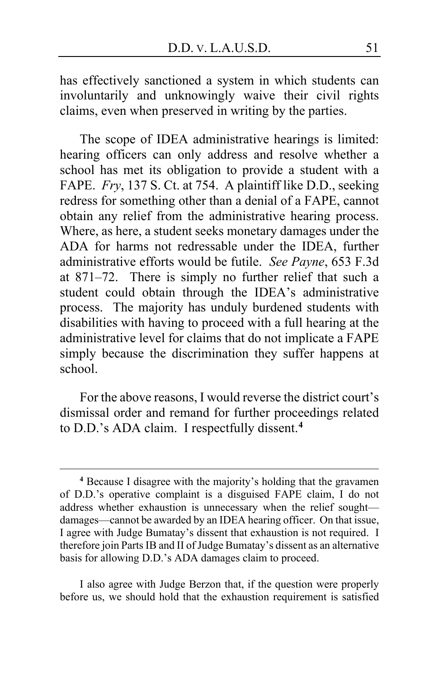has effectively sanctioned a system in which students can involuntarily and unknowingly waive their civil rights claims, even when preserved in writing by the parties.

The scope of IDEA administrative hearings is limited: hearing officers can only address and resolve whether a school has met its obligation to provide a student with a FAPE. *Fry*, 137 S. Ct. at 754. A plaintiff like D.D., seeking redress for something other than a denial of a FAPE, cannot obtain any relief from the administrative hearing process. Where, as here, a student seeks monetary damages under the ADA for harms not redressable under the IDEA, further administrative efforts would be futile. *See Payne*, 653 F.3d at 871–72. There is simply no further relief that such a student could obtain through the IDEA's administrative process. The majority has unduly burdened students with disabilities with having to proceed with a full hearing at the administrative level for claims that do not implicate a FAPE simply because the discrimination they suffer happens at school.

For the above reasons, I would reverse the district court's dismissal order and remand for further proceedings related to D.D.'s ADA claim. I respectfully dissent.**[4](#page-50-0)**

I also agree with Judge Berzon that, if the question were properly before us, we should hold that the exhaustion requirement is satisfied

<span id="page-50-0"></span>**<sup>4</sup>** Because I disagree with the majority's holding that the gravamen of D.D.'s operative complaint is a disguised FAPE claim, I do not address whether exhaustion is unnecessary when the relief sought damages—cannot be awarded by an IDEA hearing officer. On that issue, I agree with Judge Bumatay's dissent that exhaustion is not required. I therefore join Parts IB and II of Judge Bumatay's dissent as an alternative basis for allowing D.D.'s ADA damages claim to proceed.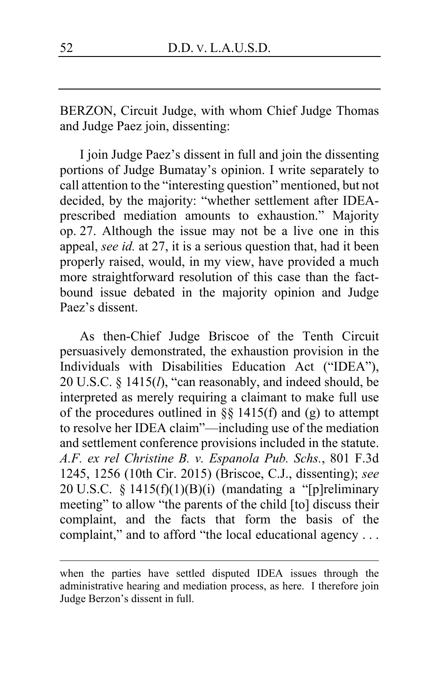BERZON, Circuit Judge, with whom Chief Judge Thomas and Judge Paez join, dissenting:

I join Judge Paez's dissent in full and join the dissenting portions of Judge Bumatay's opinion. I write separately to call attention to the "interesting question" mentioned, but not decided, by the majority: "whether settlement after IDEAprescribed mediation amounts to exhaustion." Majority op. [27.](#page-26-0) Although the issue may not be a live one in this appeal, *see id.* at [27,](#page-26-1) it is a serious question that, had it been properly raised, would, in my view, have provided a much more straightforward resolution of this case than the factbound issue debated in the majority opinion and Judge Paez's dissent.

As then-Chief Judge Briscoe of the Tenth Circuit persuasively demonstrated, the exhaustion provision in the Individuals with Disabilities Education Act ("IDEA"), 20 U.S.C. § 1415(*l*), "can reasonably, and indeed should, be interpreted as merely requiring a claimant to make full use of the procedures outlined in §§ 1415(f) and (g) to attempt to resolve her IDEA claim"—including use of the mediation and settlement conference provisions included in the statute. *A.F. ex rel Christine B. v. Espanola Pub. Schs.*, 801 F.3d 1245, 1256 (10th Cir. 2015) (Briscoe, C.J., dissenting); *see* 20 U.S.C. § 1415(f)(1)(B)(i) (mandating a "[p]reliminary meeting" to allow "the parents of the child [to] discuss their complaint, and the facts that form the basis of the complaint," and to afford "the local educational agency . . .

when the parties have settled disputed IDEA issues through the administrative hearing and mediation process, as here. I therefore join Judge Berzon's dissent in full.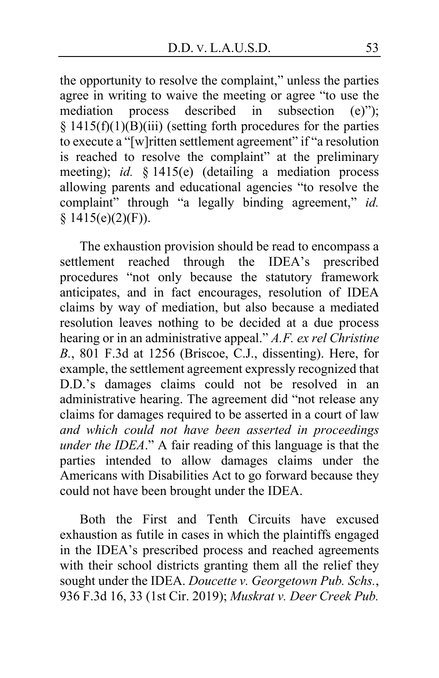the opportunity to resolve the complaint," unless the parties agree in writing to waive the meeting or agree "to use the mediation process described in subsection (e)"); § 1415(f)(1)(B)(iii) (setting forth procedures for the parties to execute a "[w]ritten settlement agreement" if "a resolution is reached to resolve the complaint" at the preliminary meeting); *id.* § 1415(e) (detailing a mediation process allowing parents and educational agencies "to resolve the complaint" through "a legally binding agreement," *id.*  $§ 1415(e)(2)(F)).$ 

The exhaustion provision should be read to encompass a settlement reached through the IDEA's prescribed procedures "not only because the statutory framework anticipates, and in fact encourages, resolution of IDEA claims by way of mediation, but also because a mediated resolution leaves nothing to be decided at a due process hearing or in an administrative appeal." *A.F. ex rel Christine B.*, 801 F.3d at 1256 (Briscoe, C.J., dissenting). Here, for example, the settlement agreement expressly recognized that D.D.'s damages claims could not be resolved in an administrative hearing. The agreement did "not release any claims for damages required to be asserted in a court of law *and which could not have been asserted in proceedings under the IDEA*." A fair reading of this language is that the parties intended to allow damages claims under the Americans with Disabilities Act to go forward because they could not have been brought under the IDEA.

Both the First and Tenth Circuits have excused exhaustion as futile in cases in which the plaintiffs engaged in the IDEA's prescribed process and reached agreements with their school districts granting them all the relief they sought under the IDEA. *Doucette v. Georgetown Pub. Schs.*, 936 F.3d 16, 33 (1st Cir. 2019); *Muskrat v. Deer Creek Pub.*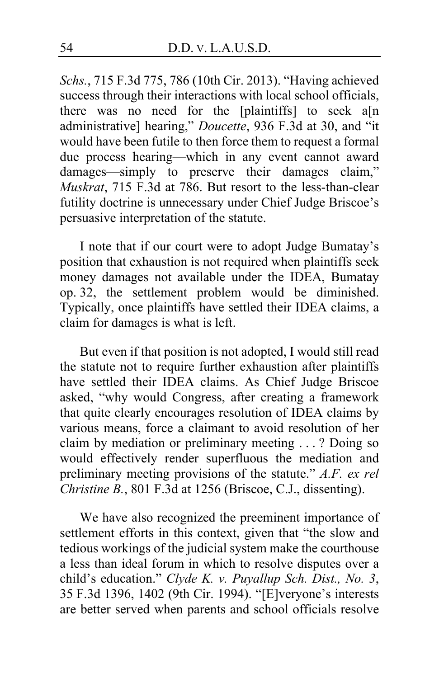*Schs.*, 715 F.3d 775, 786 (10th Cir. 2013). "Having achieved success through their interactions with local school officials, there was no need for the [plaintiffs] to seek a[n administrative] hearing," *Doucette*, 936 F.3d at 30, and "it would have been futile to then force them to request a formal due process hearing—which in any event cannot award damages—simply to preserve their damages claim," *Muskrat*, 715 F.3d at 786. But resort to the less-than-clear futility doctrine is unnecessary under Chief Judge Briscoe's persuasive interpretation of the statute.

I note that if our court were to adopt Judge Bumatay's position that exhaustion is not required when plaintiffs seek money damages not available under the IDEA, Bumatay op. [32,](#page-31-0) the settlement problem would be diminished. Typically, once plaintiffs have settled their IDEA claims, a claim for damages is what is left.

But even if that position is not adopted, I would still read the statute not to require further exhaustion after plaintiffs have settled their IDEA claims. As Chief Judge Briscoe asked, "why would Congress, after creating a framework that quite clearly encourages resolution of IDEA claims by various means, force a claimant to avoid resolution of her claim by mediation or preliminary meeting . . . ? Doing so would effectively render superfluous the mediation and preliminary meeting provisions of the statute." *A.F. ex rel Christine B.*, 801 F.3d at 1256 (Briscoe, C.J., dissenting).

We have also recognized the preeminent importance of settlement efforts in this context, given that "the slow and tedious workings of the judicial system make the courthouse a less than ideal forum in which to resolve disputes over a child's education." *Clyde K. v. Puyallup Sch. Dist., No. 3*, 35 F.3d 1396, 1402 (9th Cir. 1994). "[E]veryone's interests are better served when parents and school officials resolve